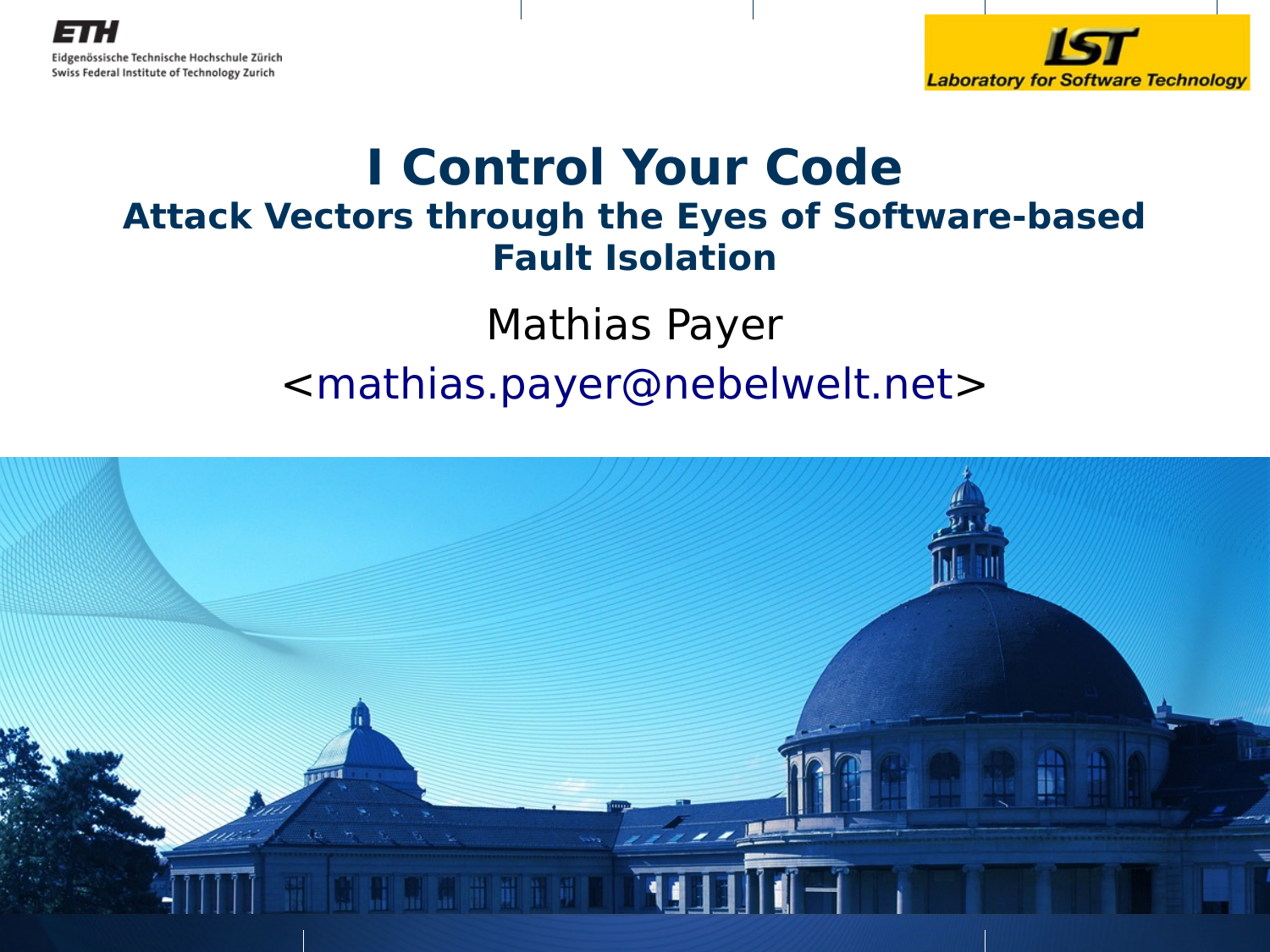



#### **I Control Your Code Attack Vectors through the Eyes of Software-based Fault Isolation**

Mathias Payer <[mathias.payer@nebelwelt.net>](mailto:mathias.payer@nebelwelt.net)

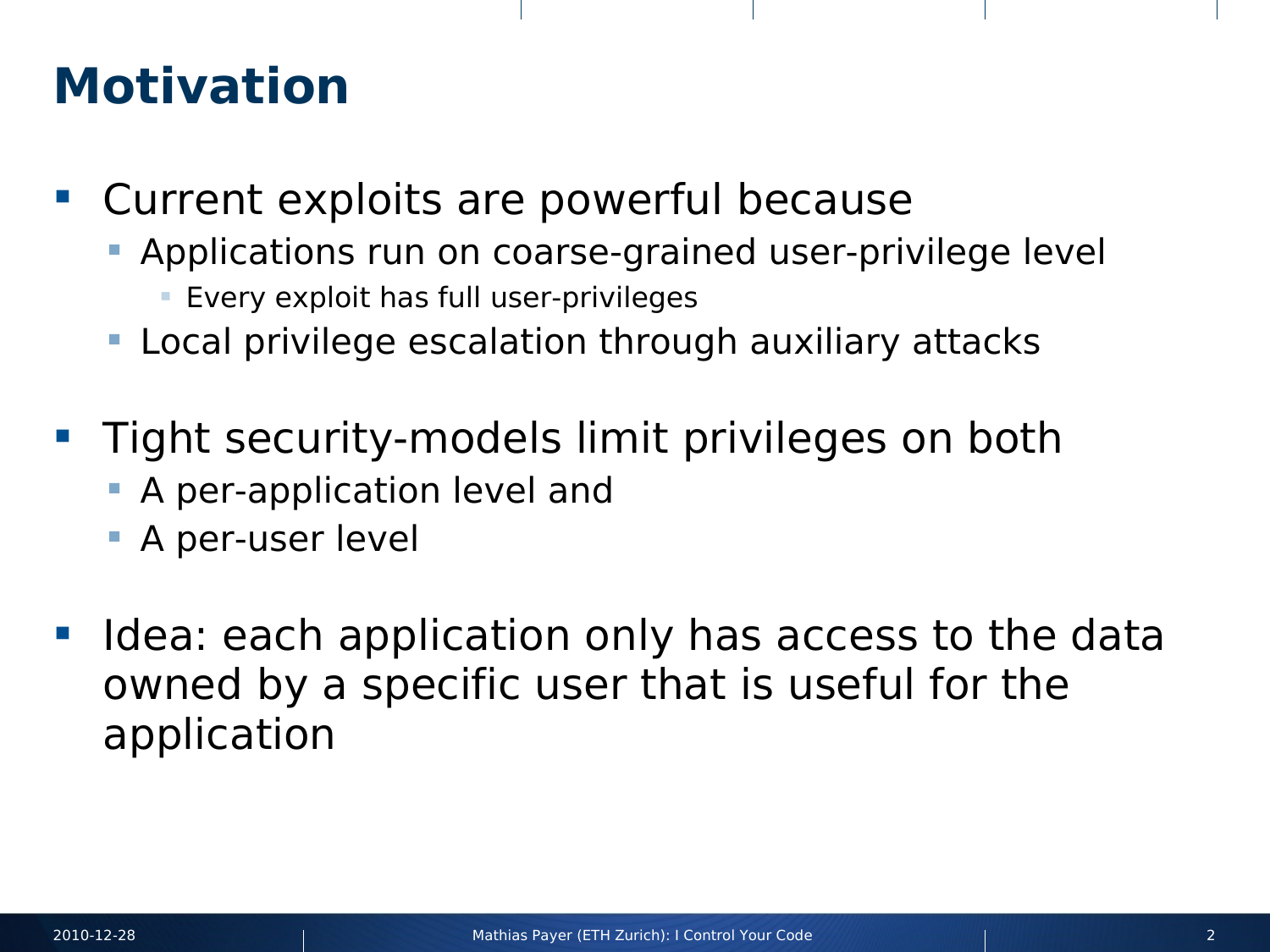#### **Motivation**

- Current exploits are powerful because
	- Applications run on coarse-grained user-privilege level
		- Every exploit has full user-privileges
	- Local privilege escalation through auxiliary attacks
- **Tight security-models limit privileges on both** 
	- **A** per-application level and
	- A per-user level
- Idea: each application only has access to the data owned by a specific user that is useful for the application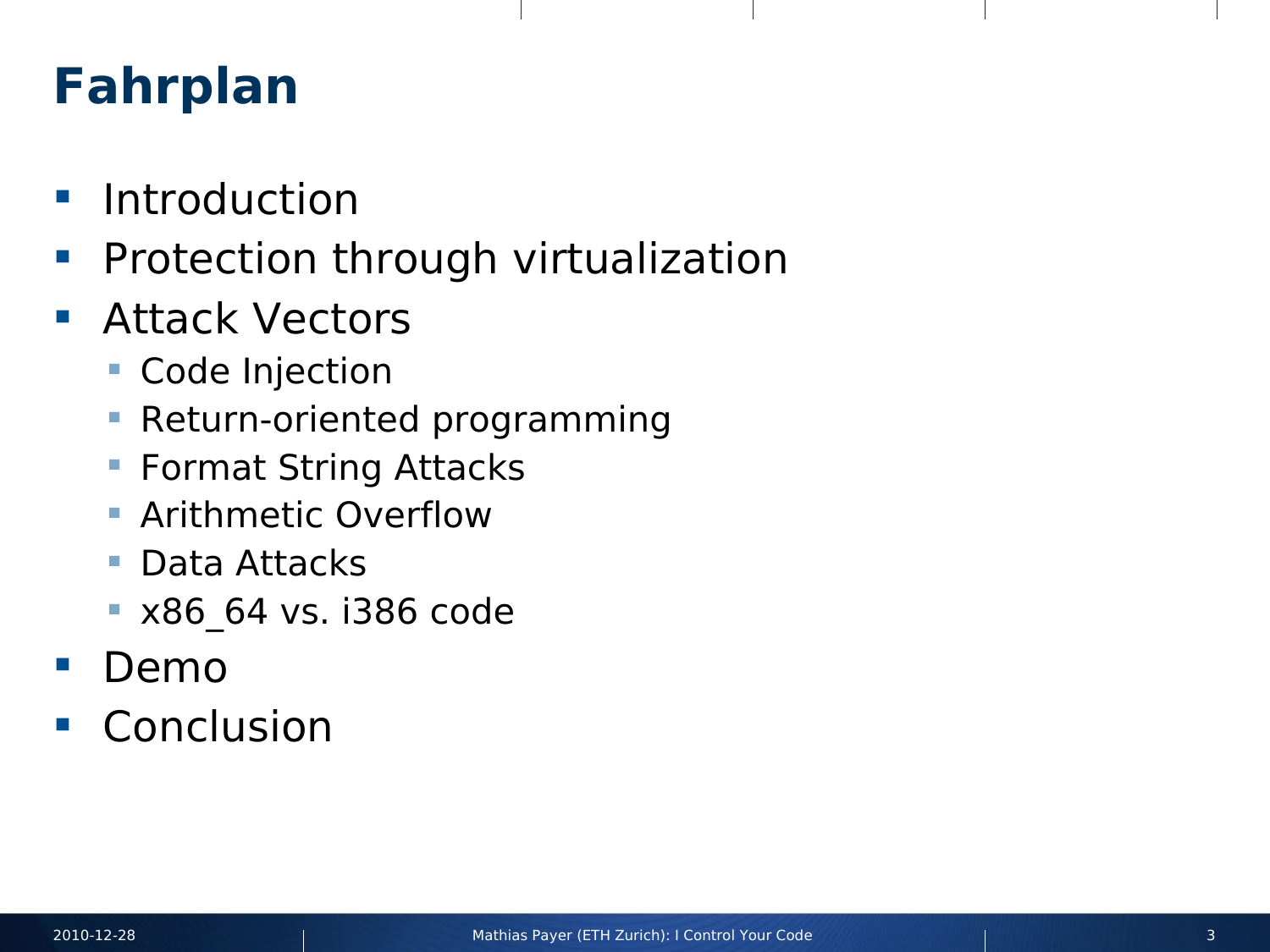### **Fahrplan**

- **Introduction**
- **Protection through virtualization**
- **Attack Vectors** 
	- **Code Injection**
	- **Return-oriented programming**
	- **Format String Attacks**
	- **Arithmetic Overflow**
	- **Data Attacks**
	- **x86 64 vs. i386 code**
- Demo
- **Conclusion**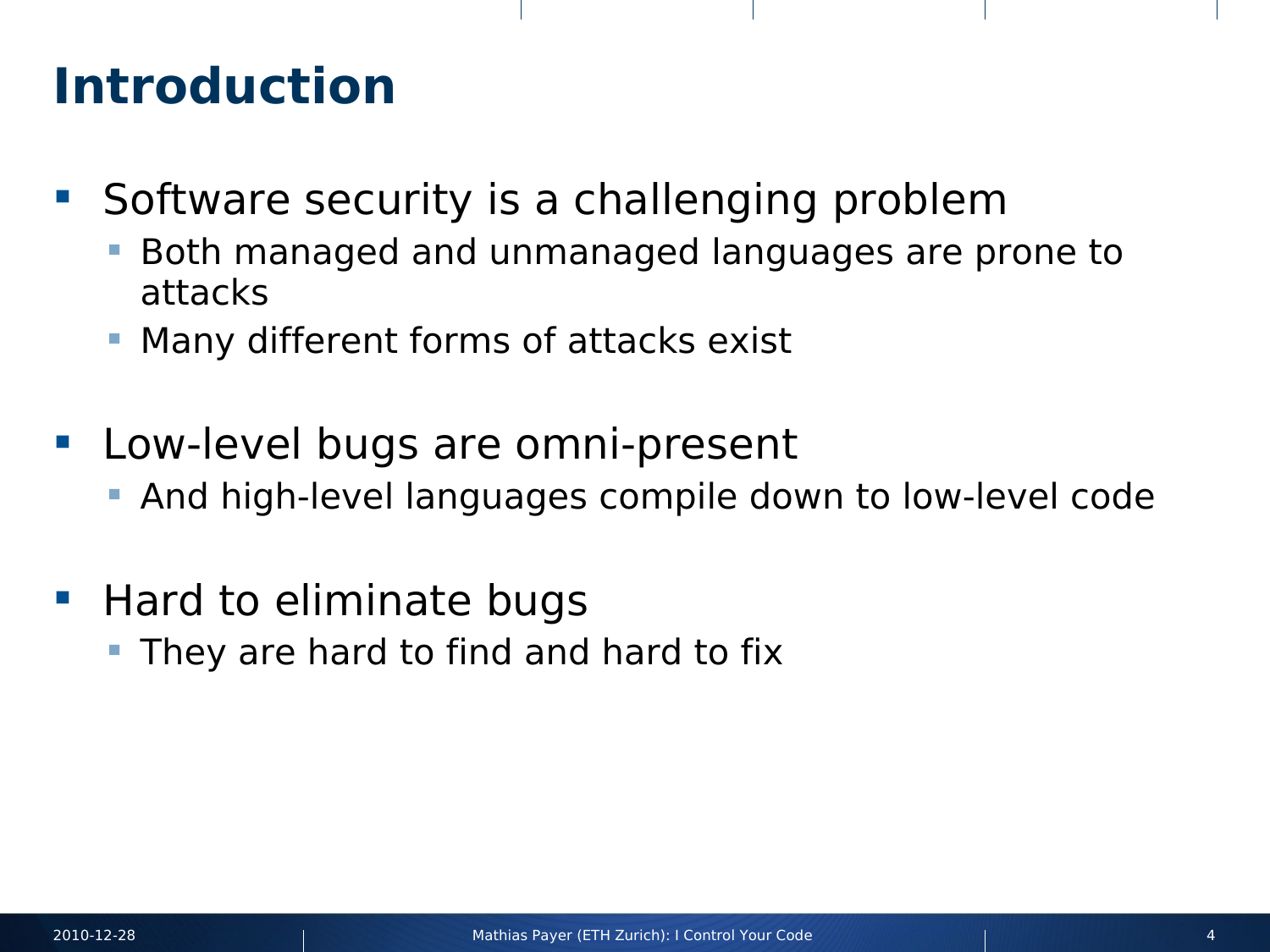#### **Introduction**

- **Software security is a challenging problem** 
	- Both managed and unmanaged languages are prone to attacks
	- Many different forms of attacks exist
- **Low-level bugs are omni-present** 
	- **And high-level languages compile down to low-level code**
- **Hard to eliminate bugs** 
	- They are hard to find and hard to fix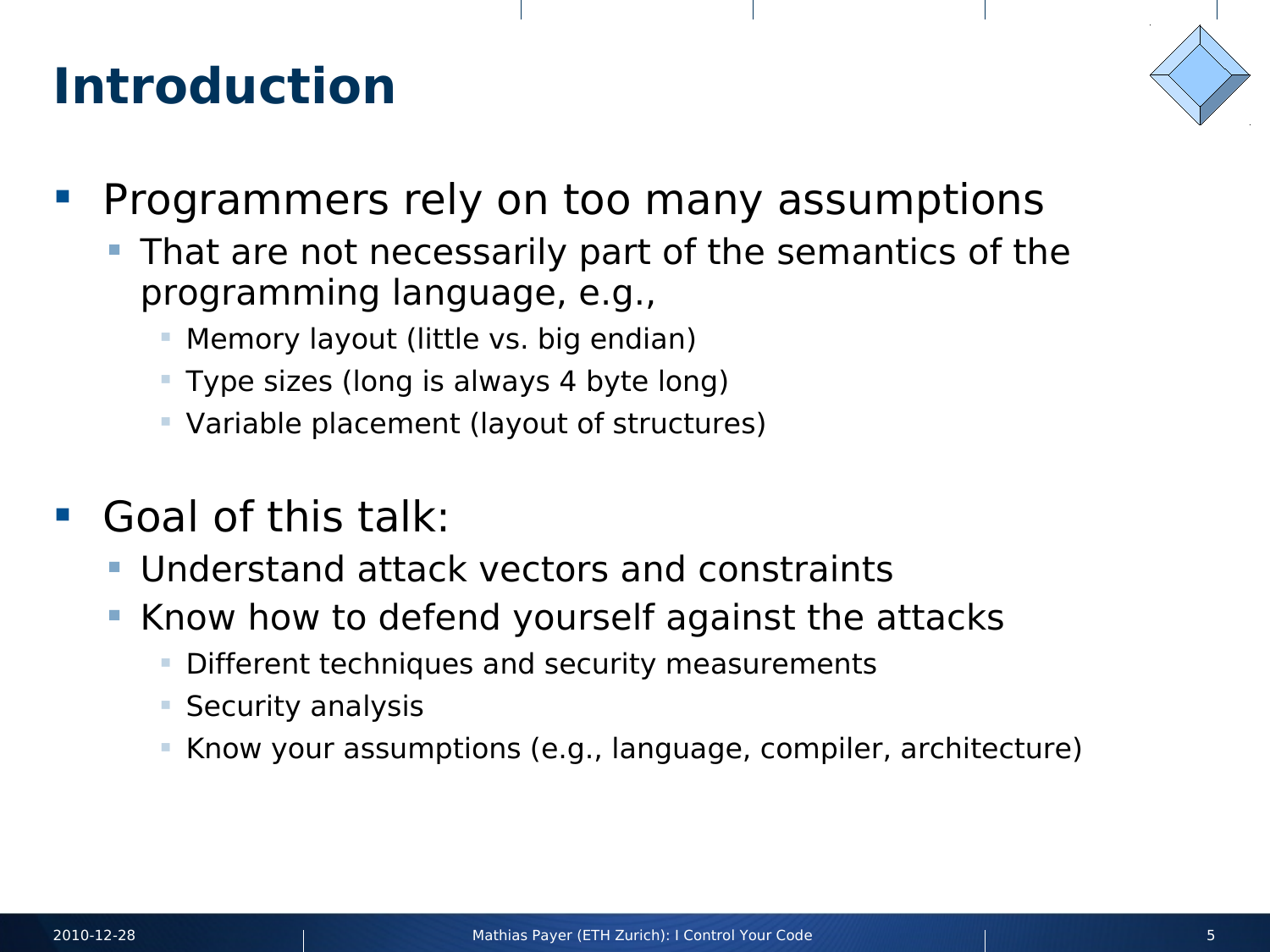#### **Introduction**



- **Programmers rely on too many assumptions** 
	- That are not necessarily part of the semantics of the programming language, e.g.,
		- Memory layout (little vs. big endian)
		- Type sizes (long is always 4 byte long)
		- Variable placement (layout of structures)
- Goal of this talk:
	- Understand attack vectors and constraints
	- Know how to defend yourself against the attacks
		- **Different techniques and security measurements**
		- **Security analysis**
		- Know your assumptions (e.g., language, compiler, architecture)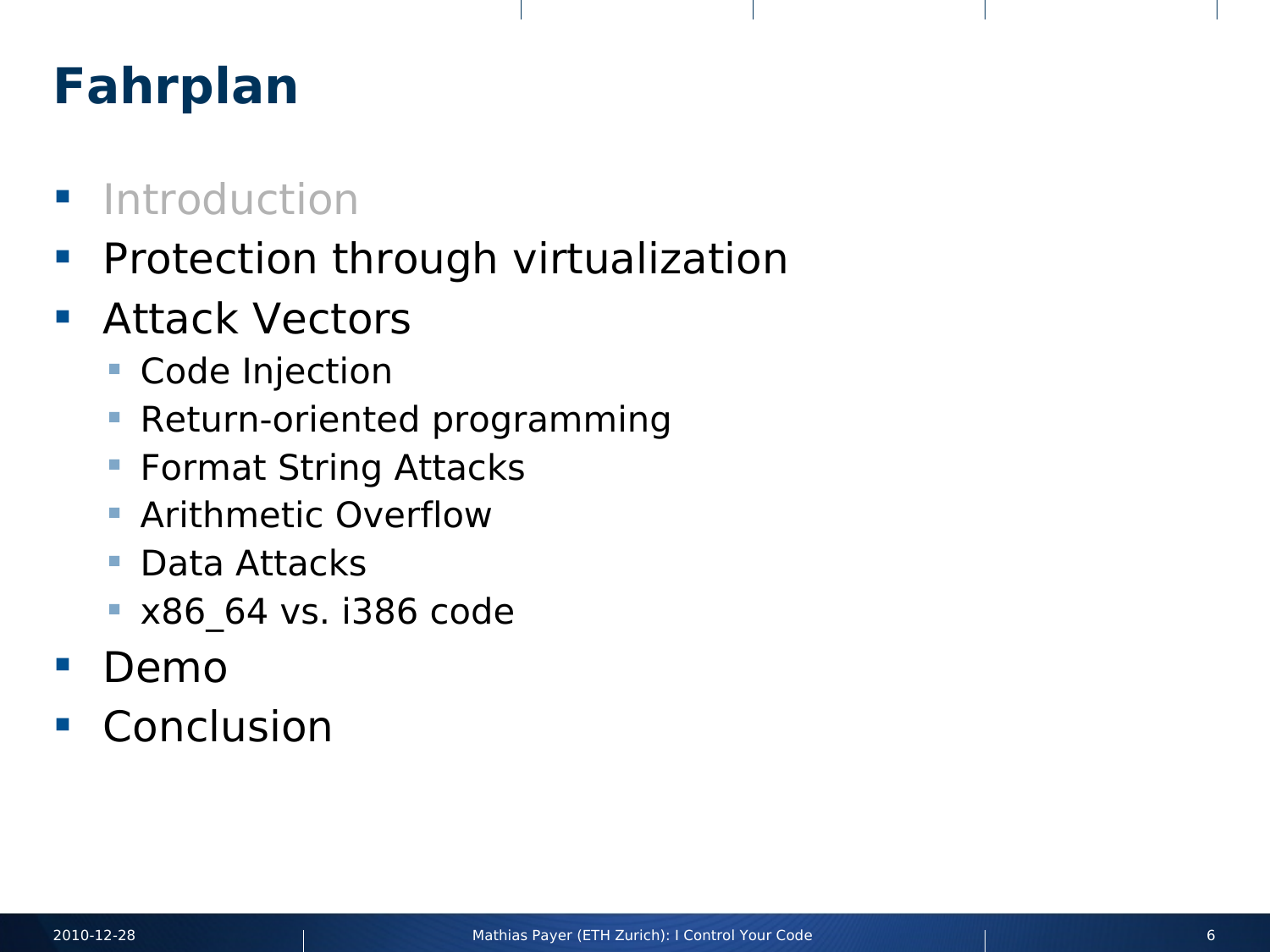# **Fahrplan**

- **Introduction**
- **Protection through virtualization**
- **Attack Vectors** 
	- **Code Injection**
	- **Return-oriented programming**
	- **Format String Attacks**
	- **Arithmetic Overflow**
	- **Data Attacks**
	- **x86 64 vs. i386 code**
- **Demo**
- **Conclusion**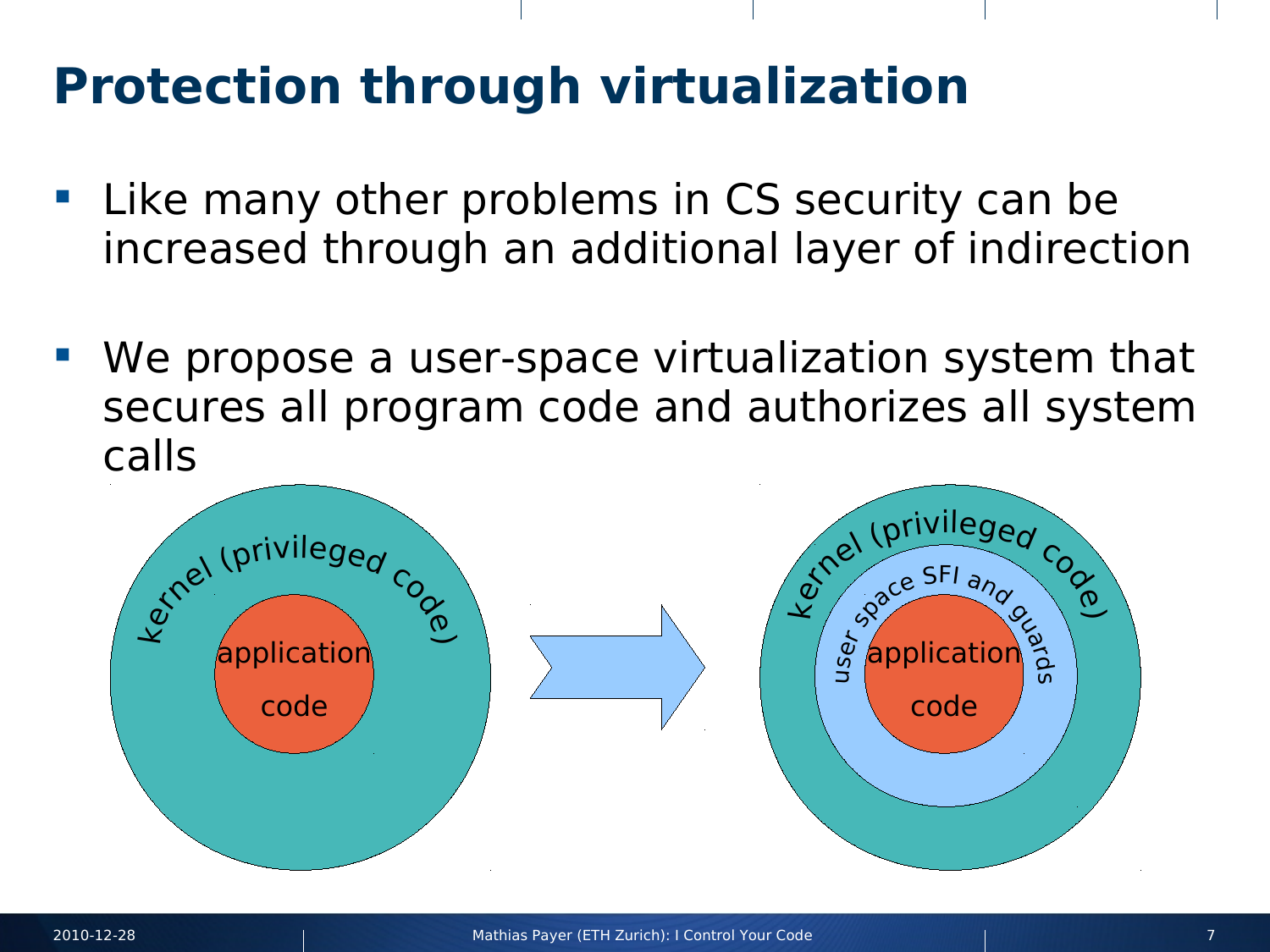# **Protection through virtualization**

- **Example 12 Theory other problems in CS security can be** increased through an additional layer of indirection
- We propose a user-space virtualization system that secures all program code and authorizes all system calls

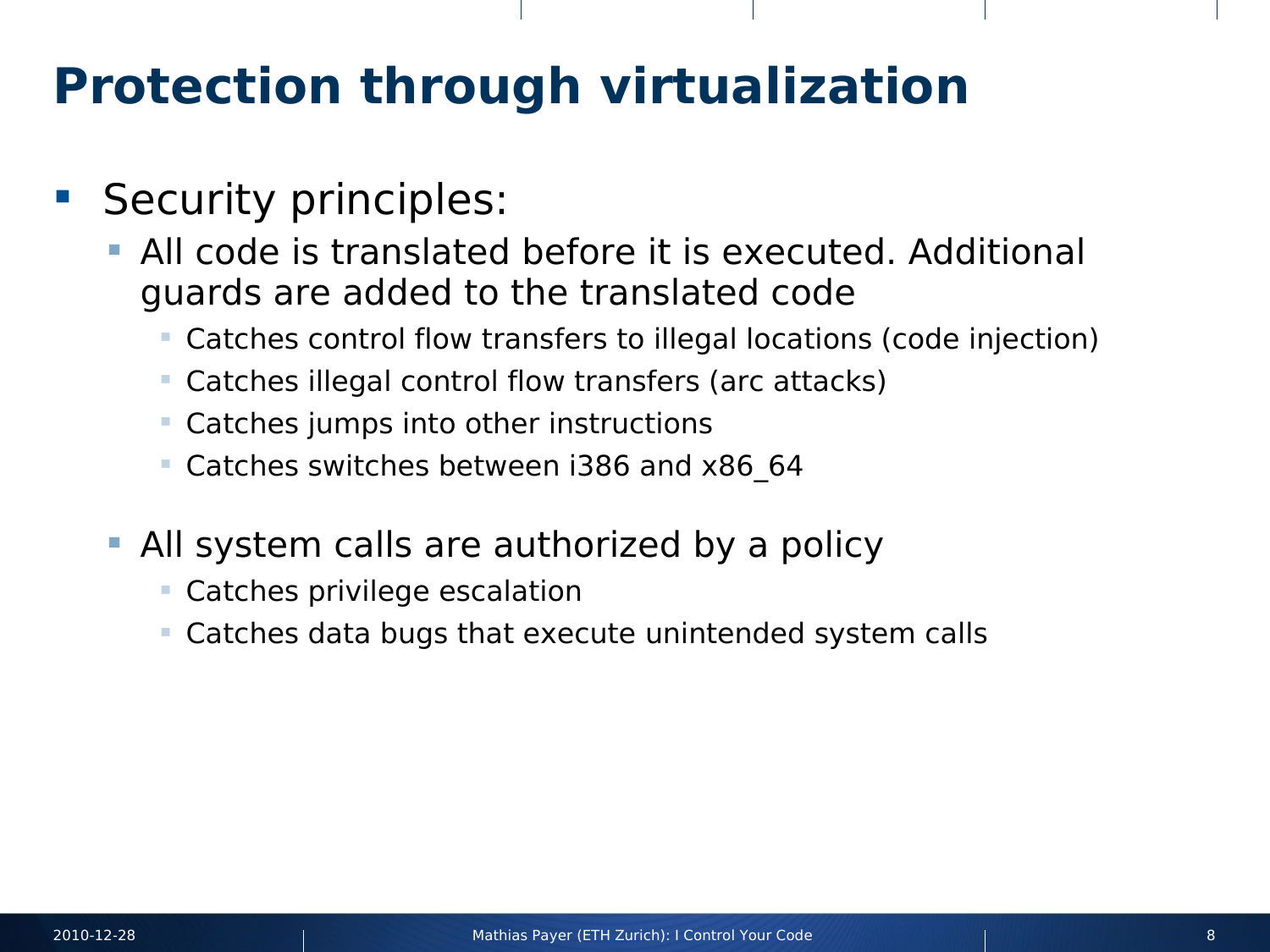### **Protection through virtualization**

- **Security principles:** 
	- All code is translated before it is executed. Additional guards are added to the translated code
		- Catches control flow transfers to illegal locations (code injection)
		- Catches illegal control flow transfers (arc attacks)
		- Catches jumps into other instructions
		- Catches switches between i386 and x86\_64
	- All system calls are authorized by a policy
		- Catches privilege escalation
		- Catches data bugs that execute unintended system calls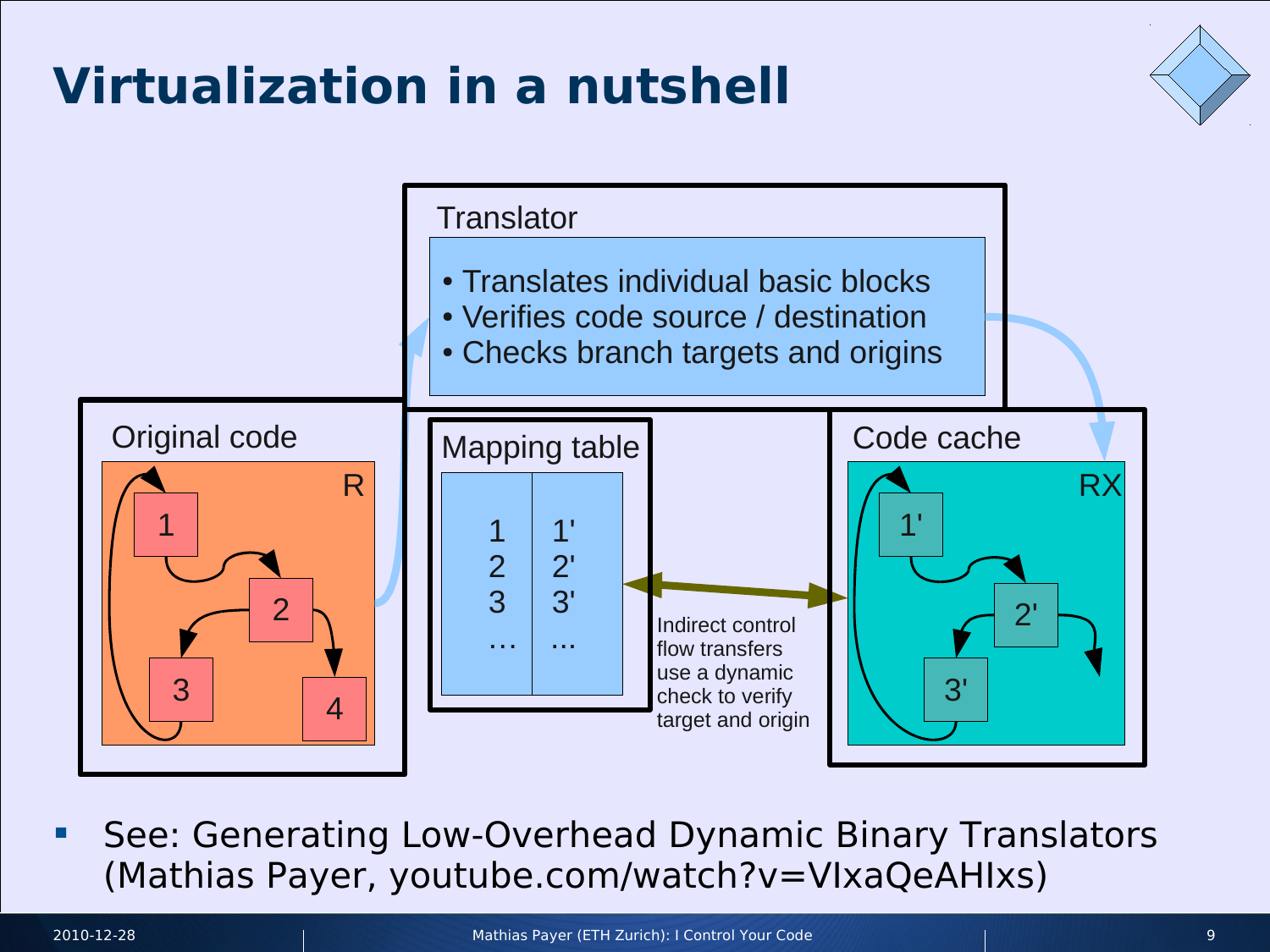# **Virtualization in a nutshell**





**See: Generating Low-Overhead Dynamic Binary Translators** (Mathias Payer, youtube.com/watch?v=VIxaQeAHIxs)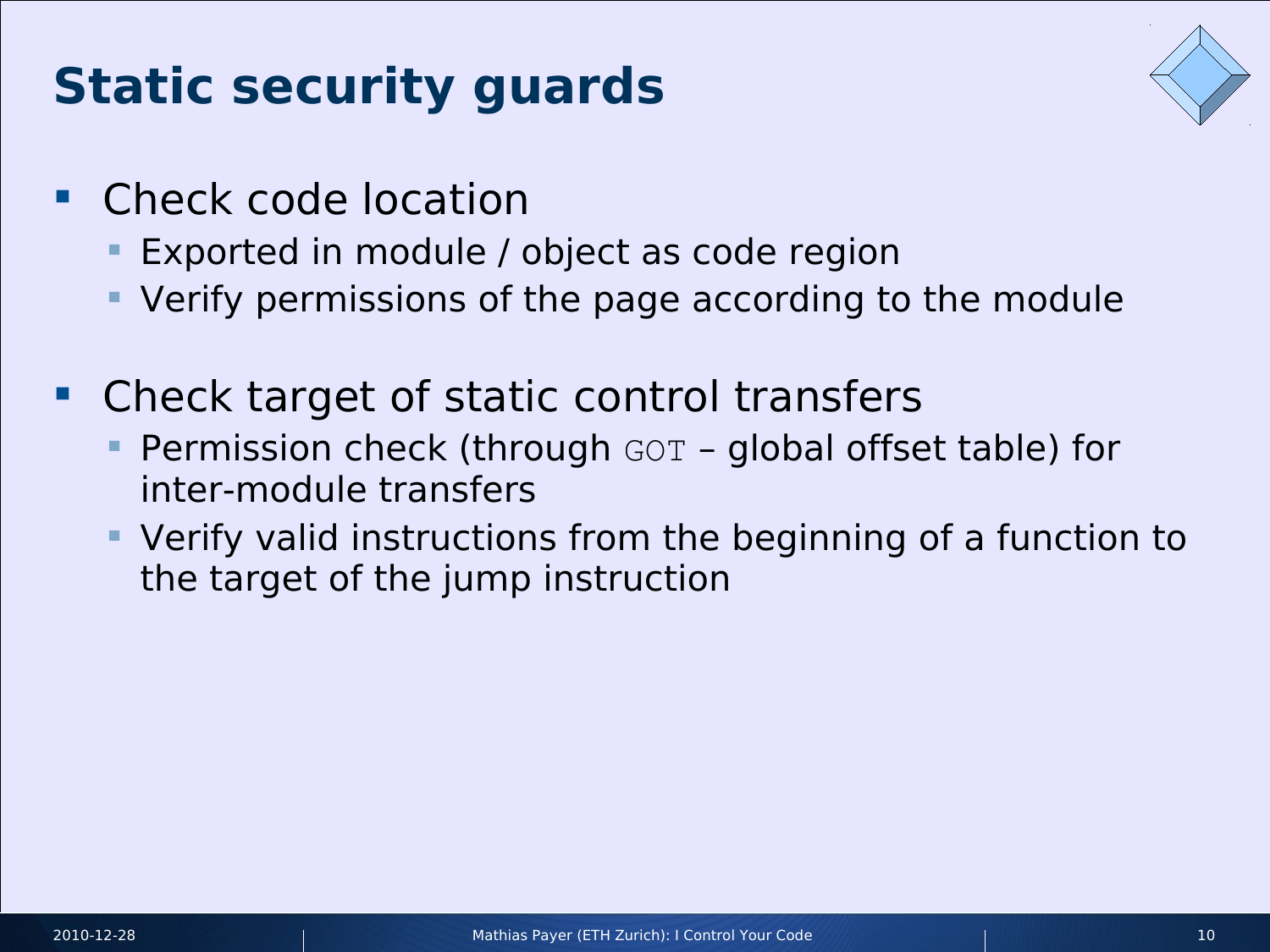# **Static security guards**



- **Check code location** 
	- Exported in module / object as code region
	- Verify permissions of the page according to the module
- Check target of static control transfers
	- Permission check (through GOT global offset table) for inter-module transfers
	- Verify valid instructions from the beginning of a function to the target of the jump instruction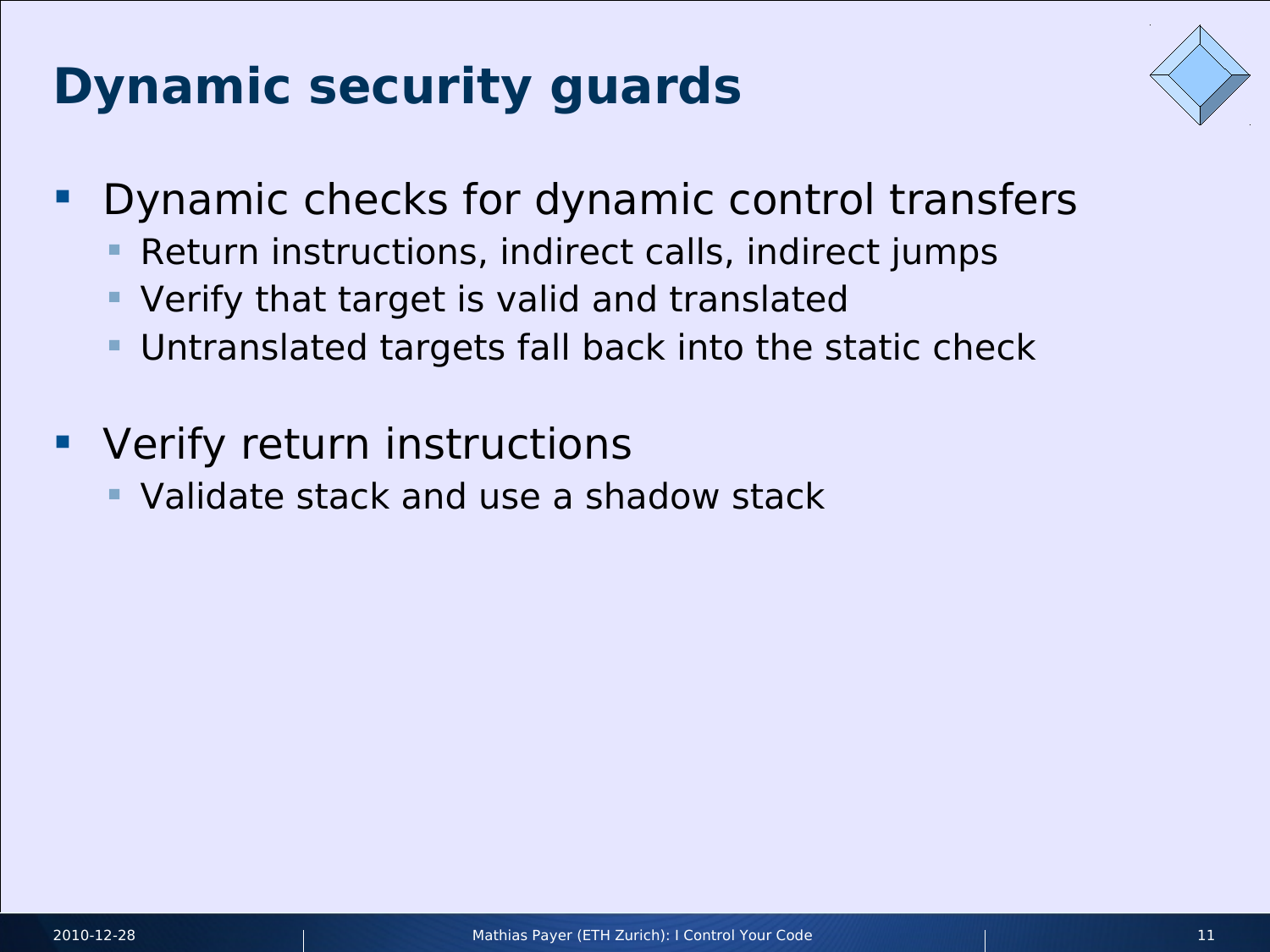# **Dynamic security guards**



- **Dynamic checks for dynamic control transfers** 
	- Return instructions, indirect calls, indirect jumps
	- Verify that target is valid and translated
	- Untranslated targets fall back into the static check
- **Verify return instructions** 
	- Validate stack and use a shadow stack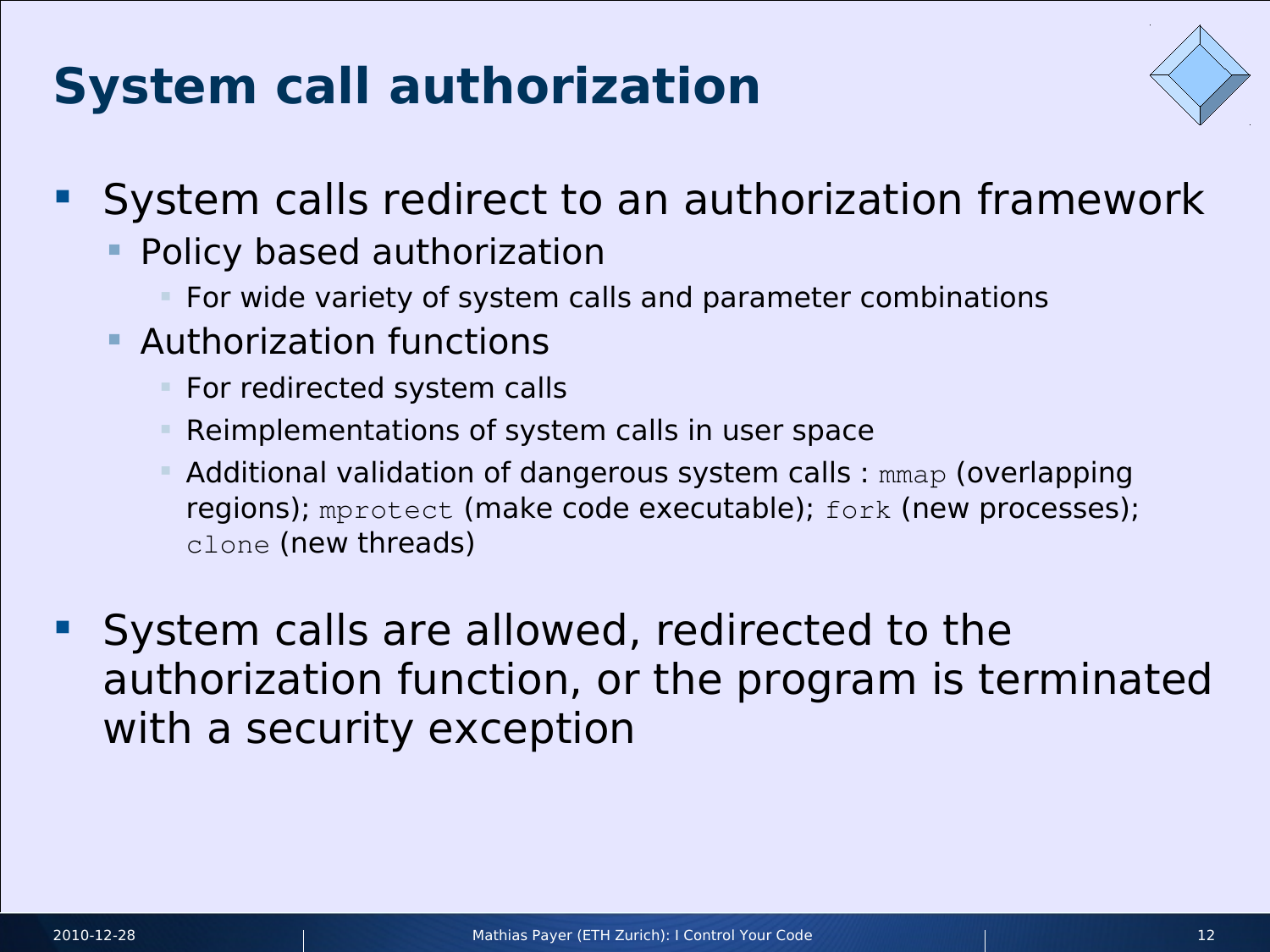# **System call authorization**



- **System calls redirect to an authorization framework** 
	- Policy based authorization
		- For wide variety of system calls and parameter combinations
	- **Authorization functions** 
		- **For redirected system calls**
		- Reimplementations of system calls in user space
		- Additional validation of dangerous system calls : mmap (overlapping regions); mprotect (make code executable); fork (new processes); clone (new threads)
- System calls are allowed, redirected to the authorization function, or the program is terminated with a security exception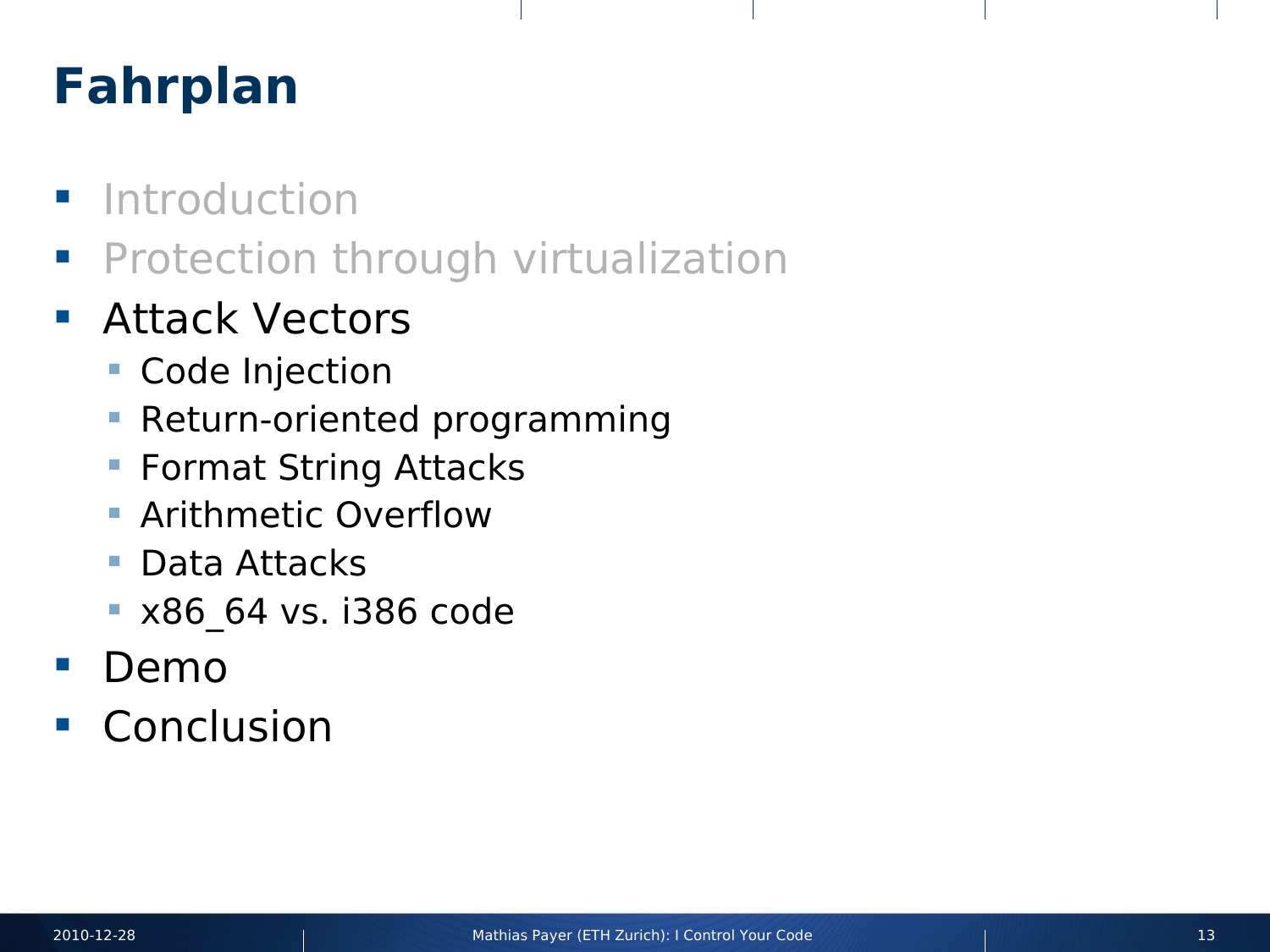# **Fahrplan**

- **Introduction**
- **Protection through virtualization**
- **Attack Vectors** 
	- Code Injection
	- **Return-oriented programming**
	- **Format String Attacks**
	- **Arithmetic Overflow**
	- **Data Attacks**
	- **x86 64 vs. i386 code**
- **Demo**
- **Conclusion**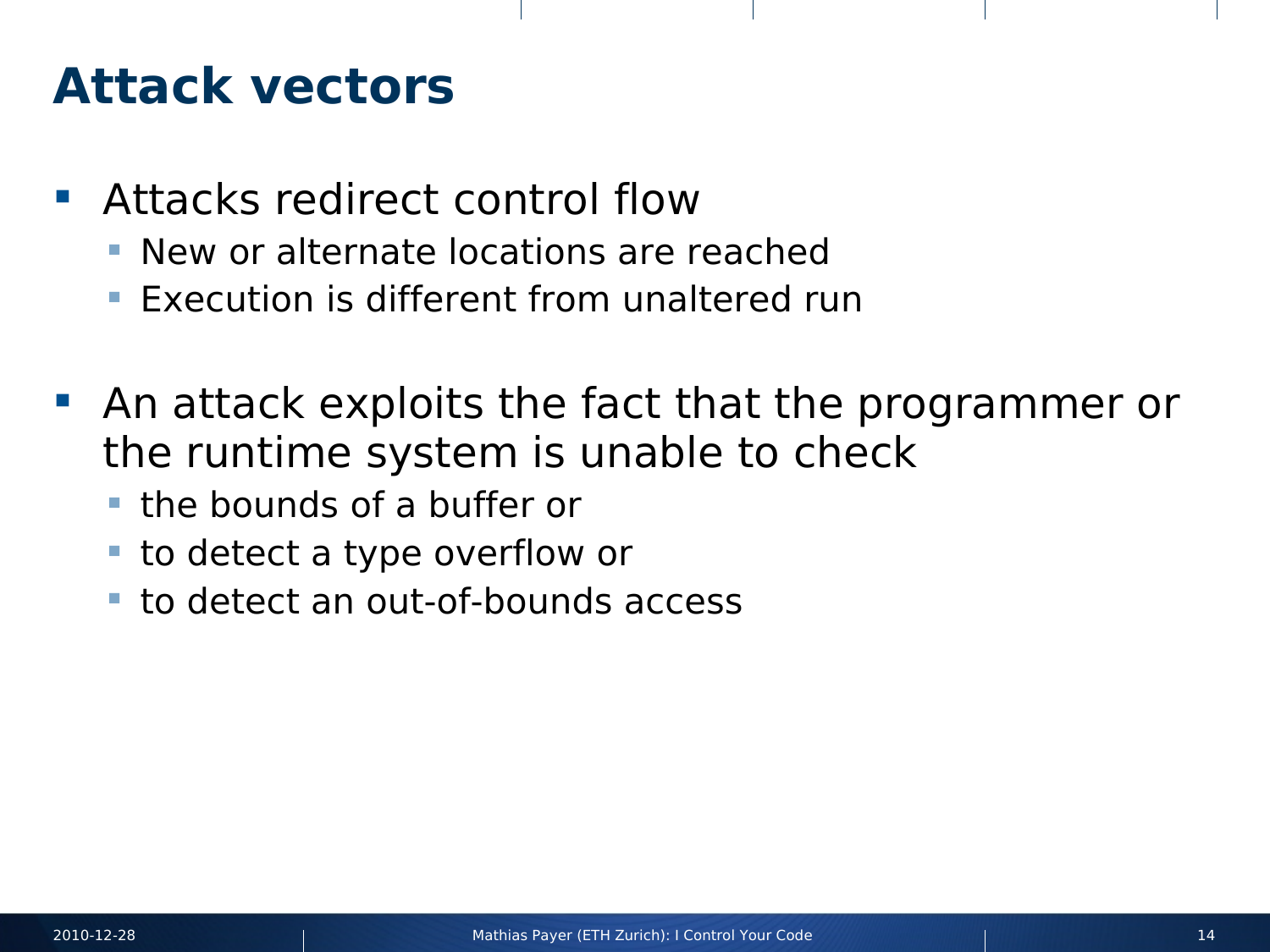#### **Attack vectors**

- **Attacks redirect control flow** 
	- **New or alternate locations are reached**
	- **Execution is different from unaltered run**
- An attack exploits the fact that the programmer or the runtime system is unable to check
	- **the bounds of a buffer or**
	- to detect a type overflow or
	- **to detect an out-of-bounds access**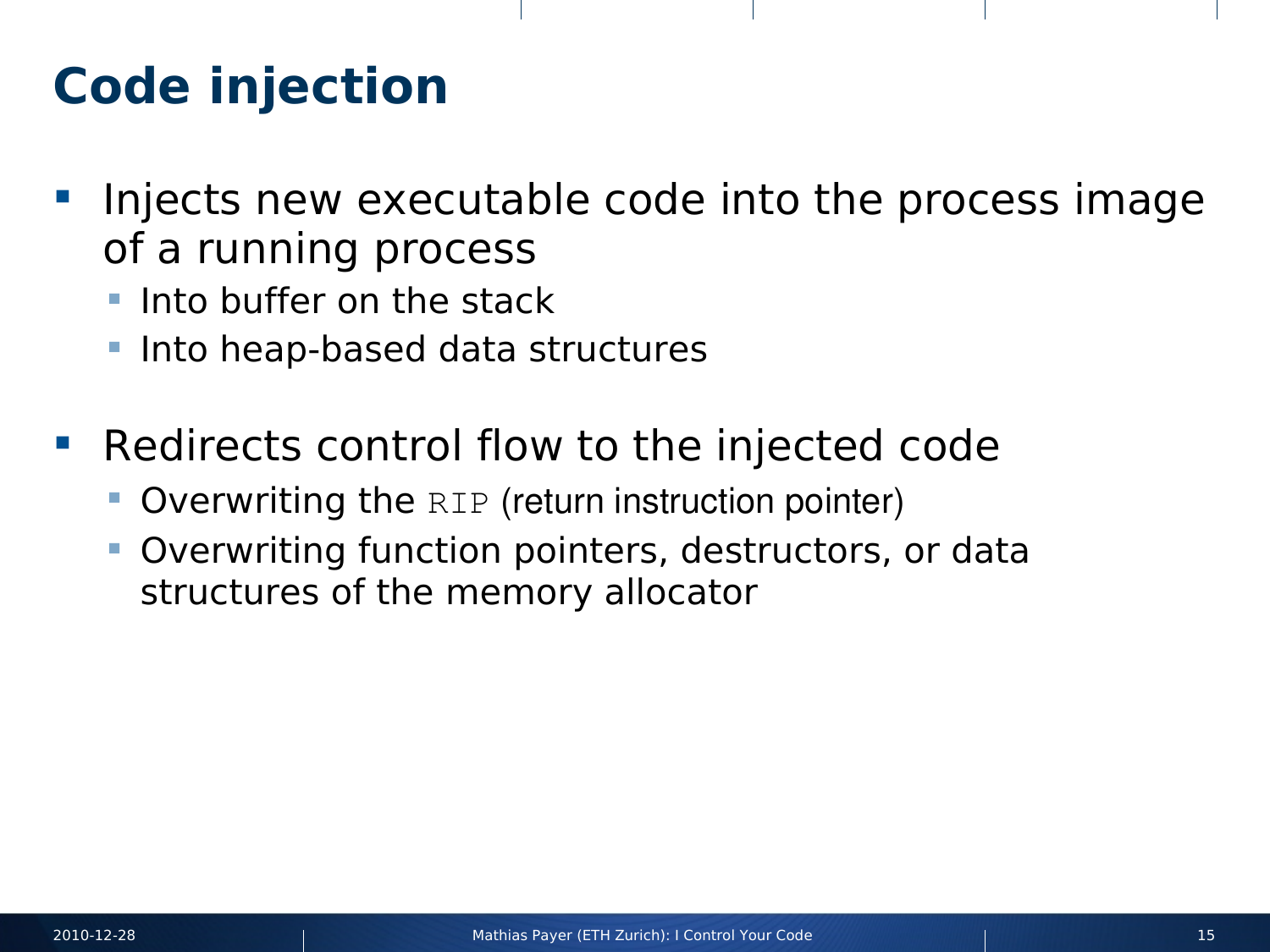## **Code injection**

- **Injects new executable code into the process image** of a running process
	- $\blacksquare$  Into buffer on the stack
	- Into heap-based data structures
- **Redirects control flow to the injected code** 
	- Overwriting the RIP (return instruction pointer)
	- Overwriting function pointers, destructors, or data structures of the memory allocator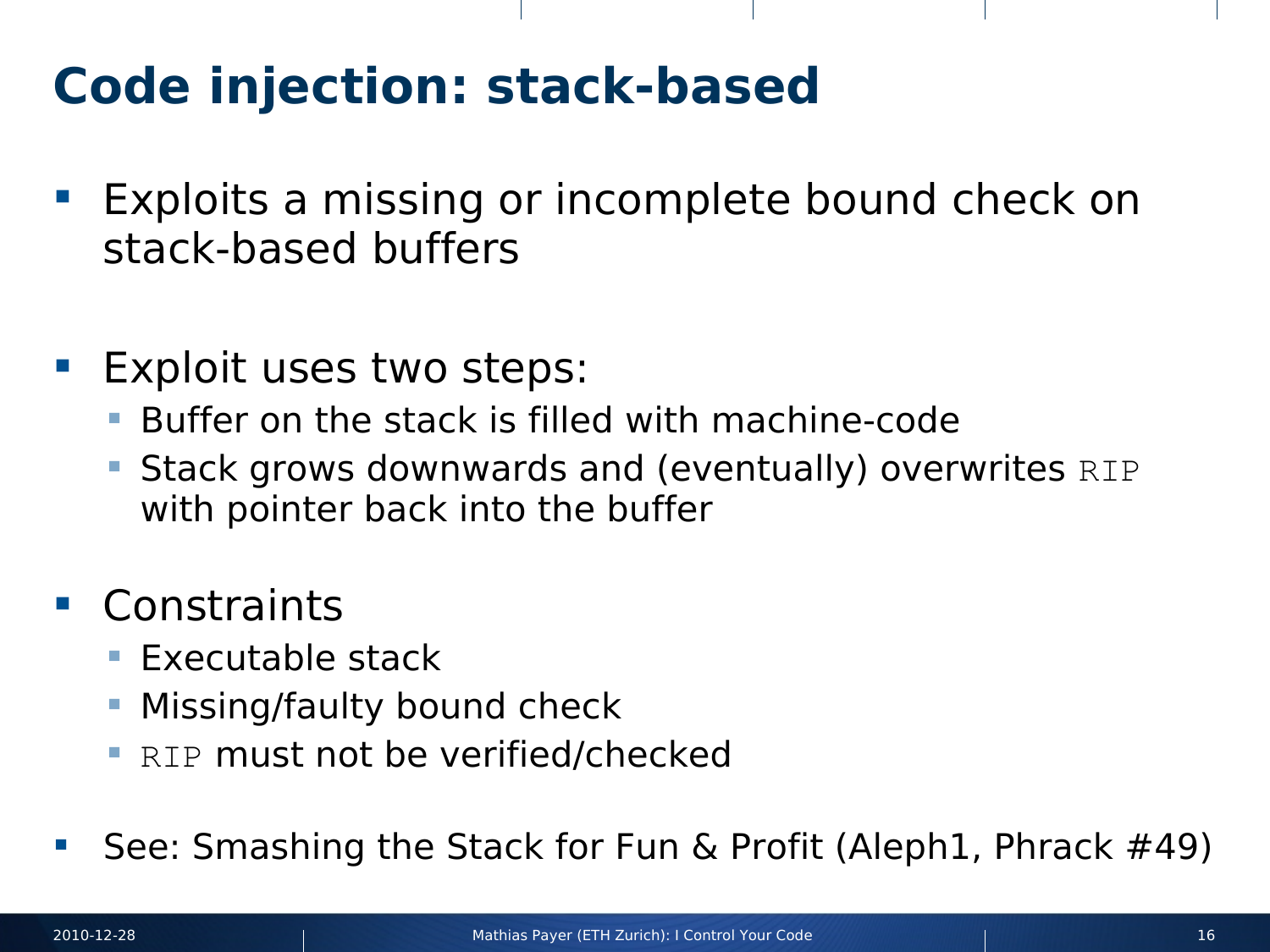# **Code injection: stack-based**

- **Exploits a missing or incomplete bound check on** stack-based buffers
- Exploit uses two steps:
	- Buffer on the stack is filled with machine-code
	- **Stack grows downwards and (eventually) overwrites RIP** with pointer back into the buffer
- Constraints
	- $\blacksquare$  Executable stack
	- Missing/faulty bound check
	- **RIP must not be verified/checked**
- See: Smashing the Stack for Fun & Profit (Aleph1, Phrack #49)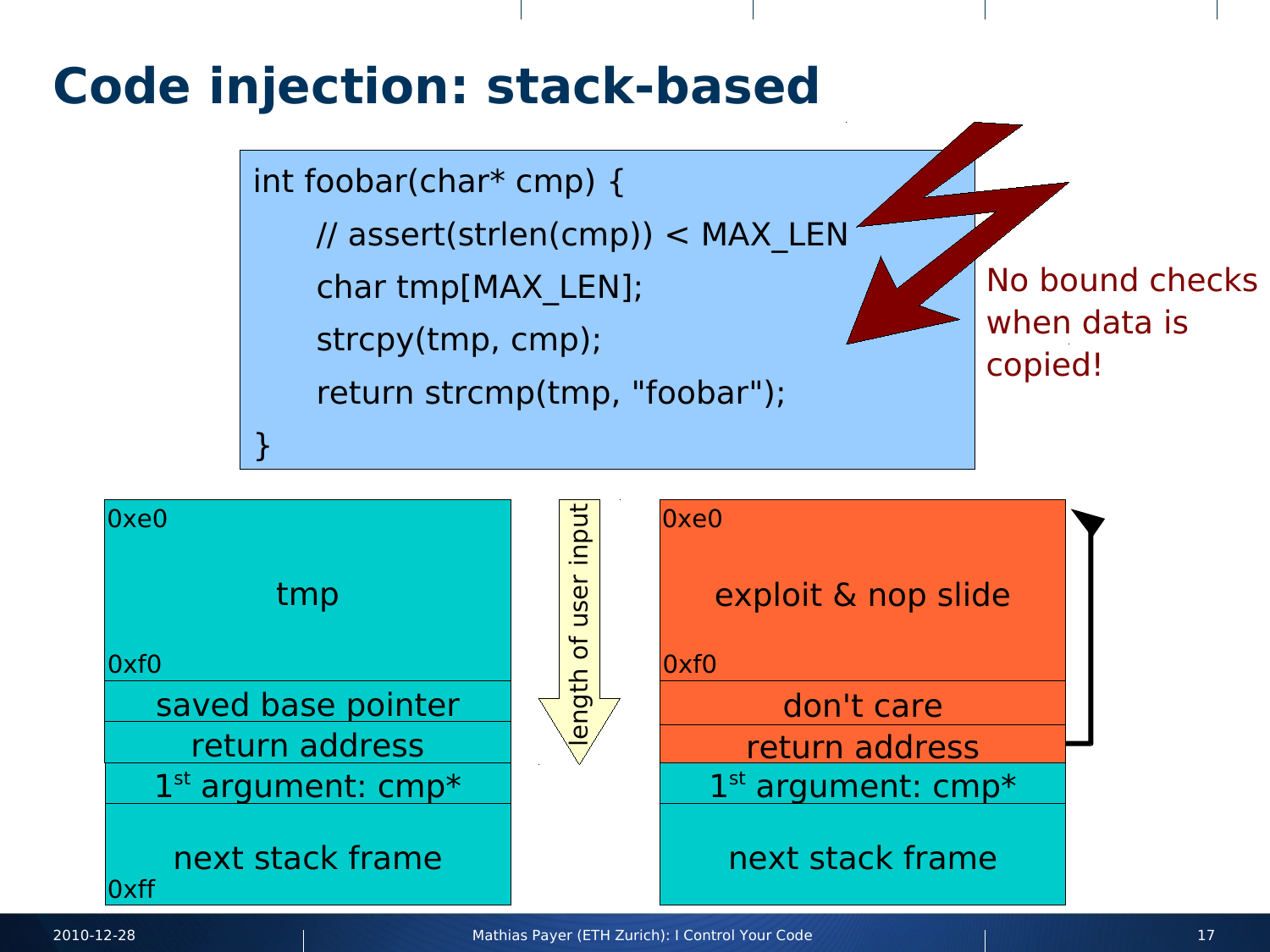#### **Code injection: stack-based**

int foobar(char\* cmp) { // assert(strlen(cmp)) < MAX\_LEN char tmp[MAX\_LEN]; strcpy(tmp, cmp); return strcmp(tmp, "foobar"); }

No bound checks when data is copied!

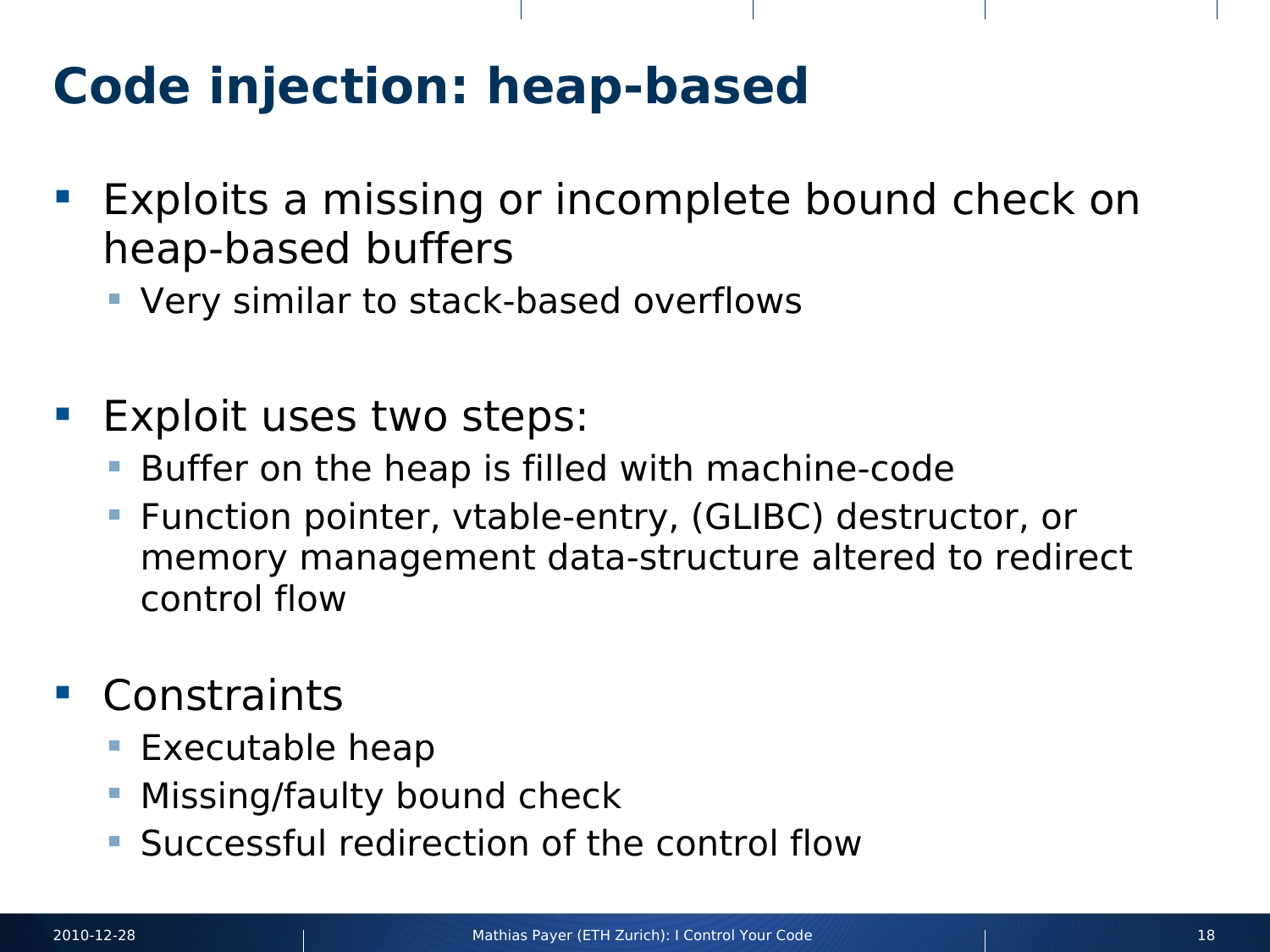# **Code injection: heap-based**

- **Exploits a missing or incomplete bound check on** heap-based buffers
	- Very similar to stack-based overflows
- **Exploit uses two steps:** 
	- Buffer on the heap is filled with machine-code
	- Function pointer, vtable-entry, (GLIBC) destructor, or memory management data-structure altered to redirect control flow
- **Constraints** 
	- **Executable heap**
	- Missing/faulty bound check
	- Successful redirection of the control flow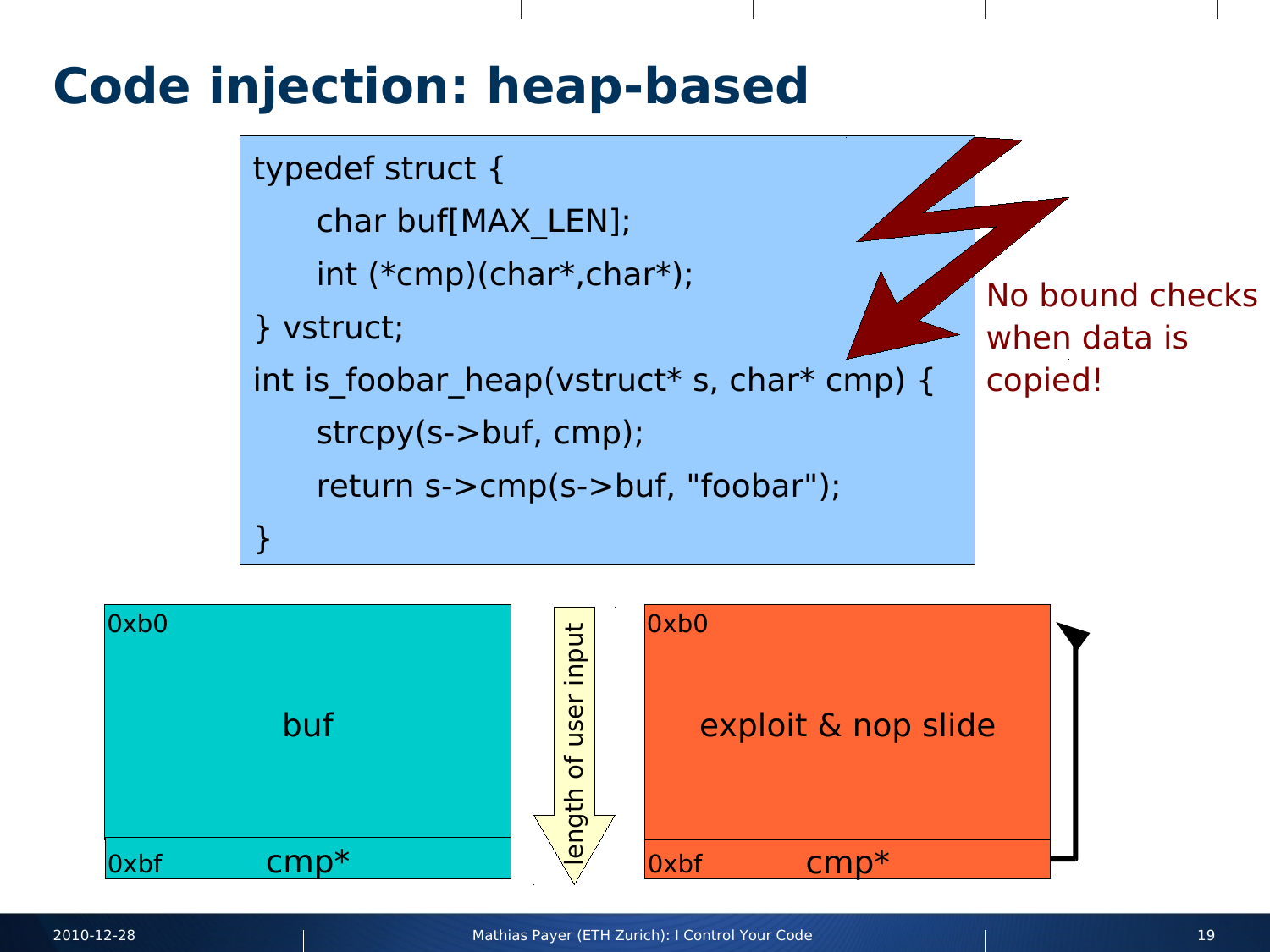#### **Code injection: heap-based**



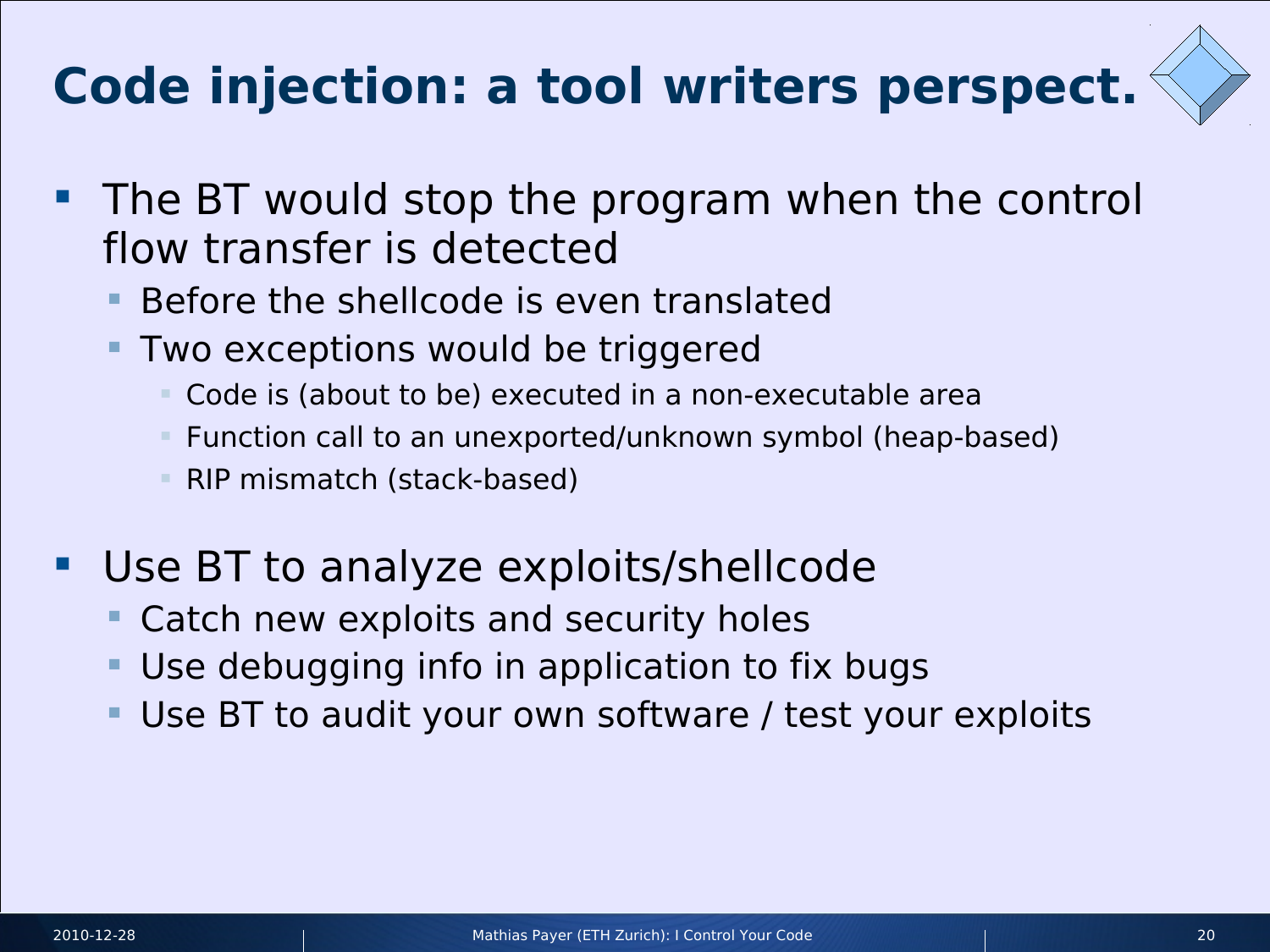# **Code injection: a tool writers perspect.**



- **The BT would stop the program when the control** flow transfer is detected
	- Before the shellcode is even translated
	- Two exceptions would be triggered
		- Code is (about to be) executed in a non-executable area
		- Function call to an unexported/unknown symbol (heap-based)
		- RIP mismatch (stack-based)
- Use BT to analyze exploits/shellcode
	- Catch new exploits and security holes
	- Use debugging info in application to fix bugs
	- Use BT to audit your own software / test your exploits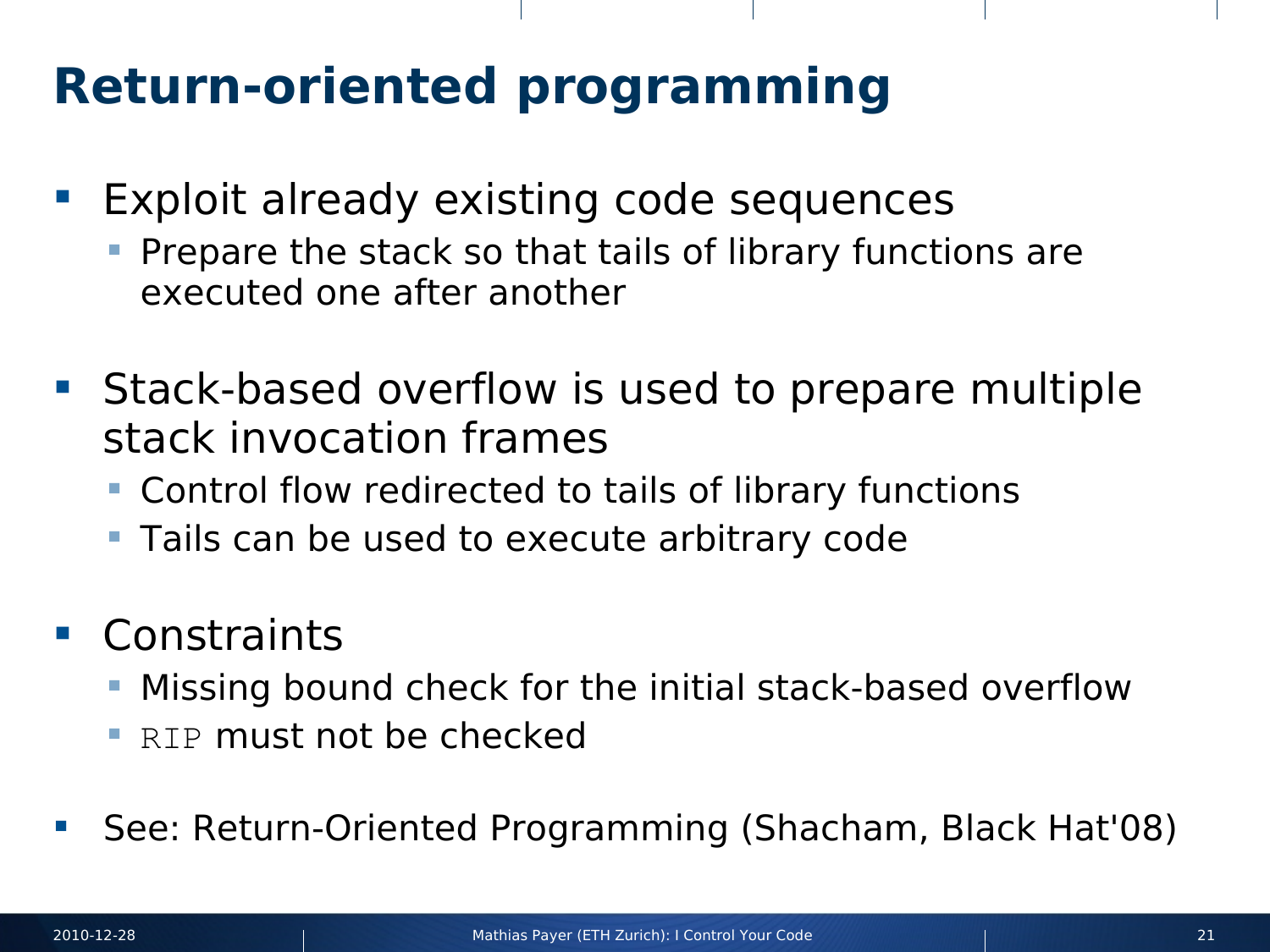# **Return-oriented programming**

- **Exploit already existing code sequences** 
	- Prepare the stack so that tails of library functions are executed one after another
- **Stack-based overflow is used to prepare multiple** stack invocation frames
	- Control flow redirected to tails of library functions
	- **Tails can be used to execute arbitrary code**
- Constraints
	- Missing bound check for the initial stack-based overflow
	- RIP must not be checked
- See: Return-Oriented Programming (Shacham, Black Hat'08)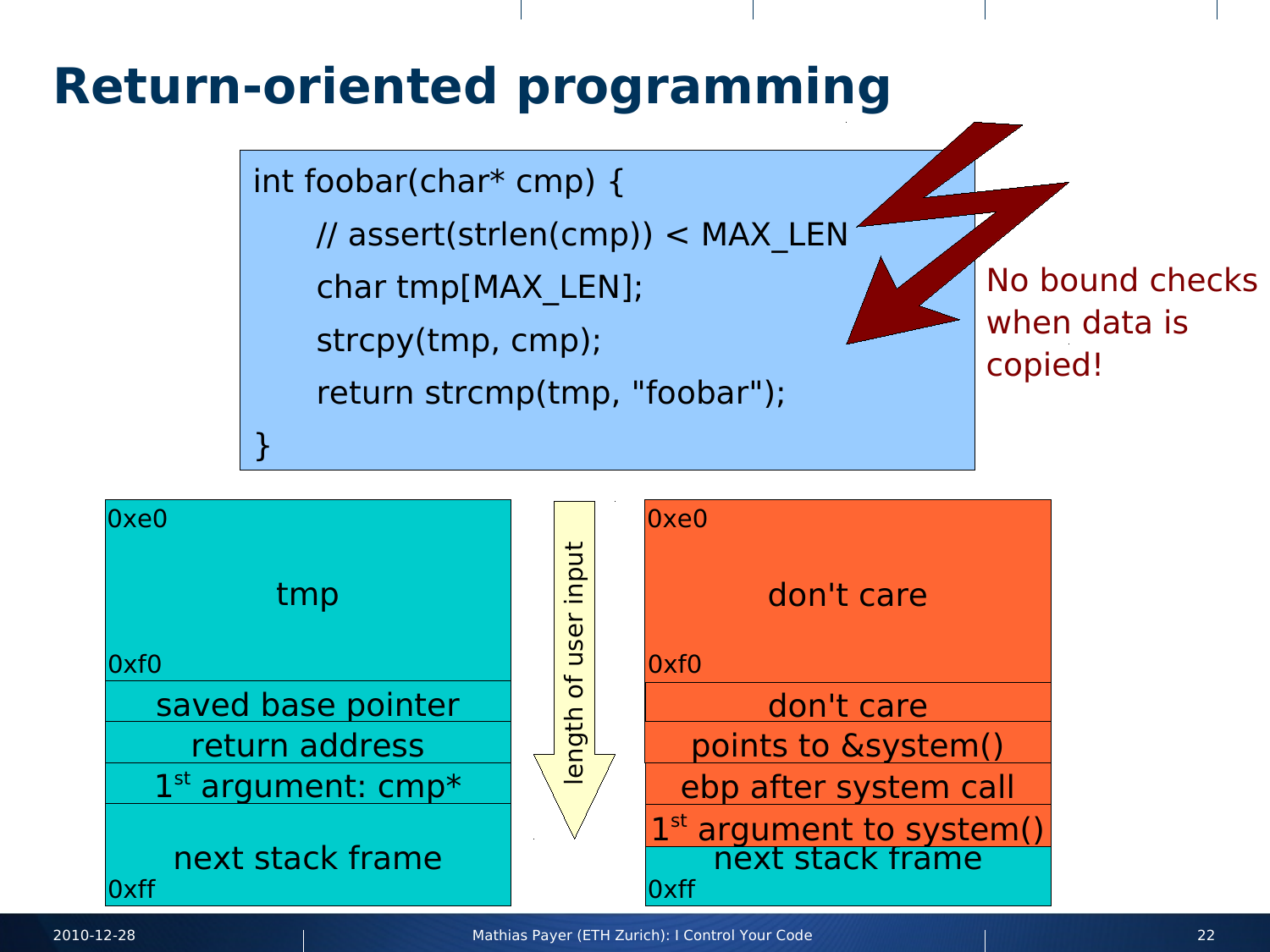#### **Return-oriented programming**

int foobar(char\* cmp) { // assert(strlen(cmp)) < MAX\_LEN char tmp[MAX\_LEN]; strcpy(tmp, cmp); return strcmp(tmp, "foobar"); }

No bound checks when data is copied!

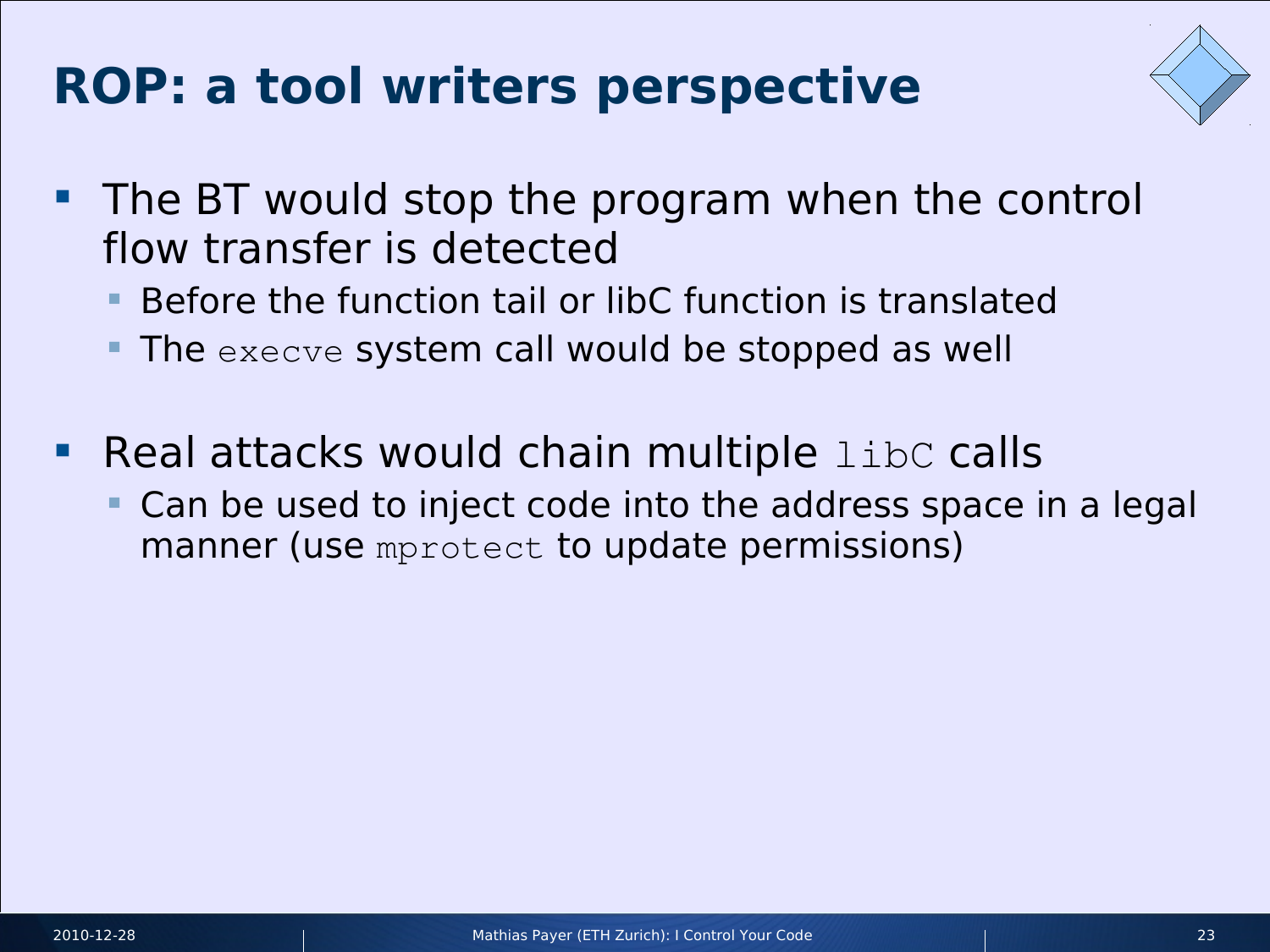# **ROP: a tool writers perspective**



- **The BT would stop the program when the control** flow transfer is detected
	- Before the function tail or libC function is translated
	- The execve system call would be stopped as well
- **Real attacks would chain multiple libC calls** 
	- Can be used to inject code into the address space in a legal manner (use mprotect to update permissions)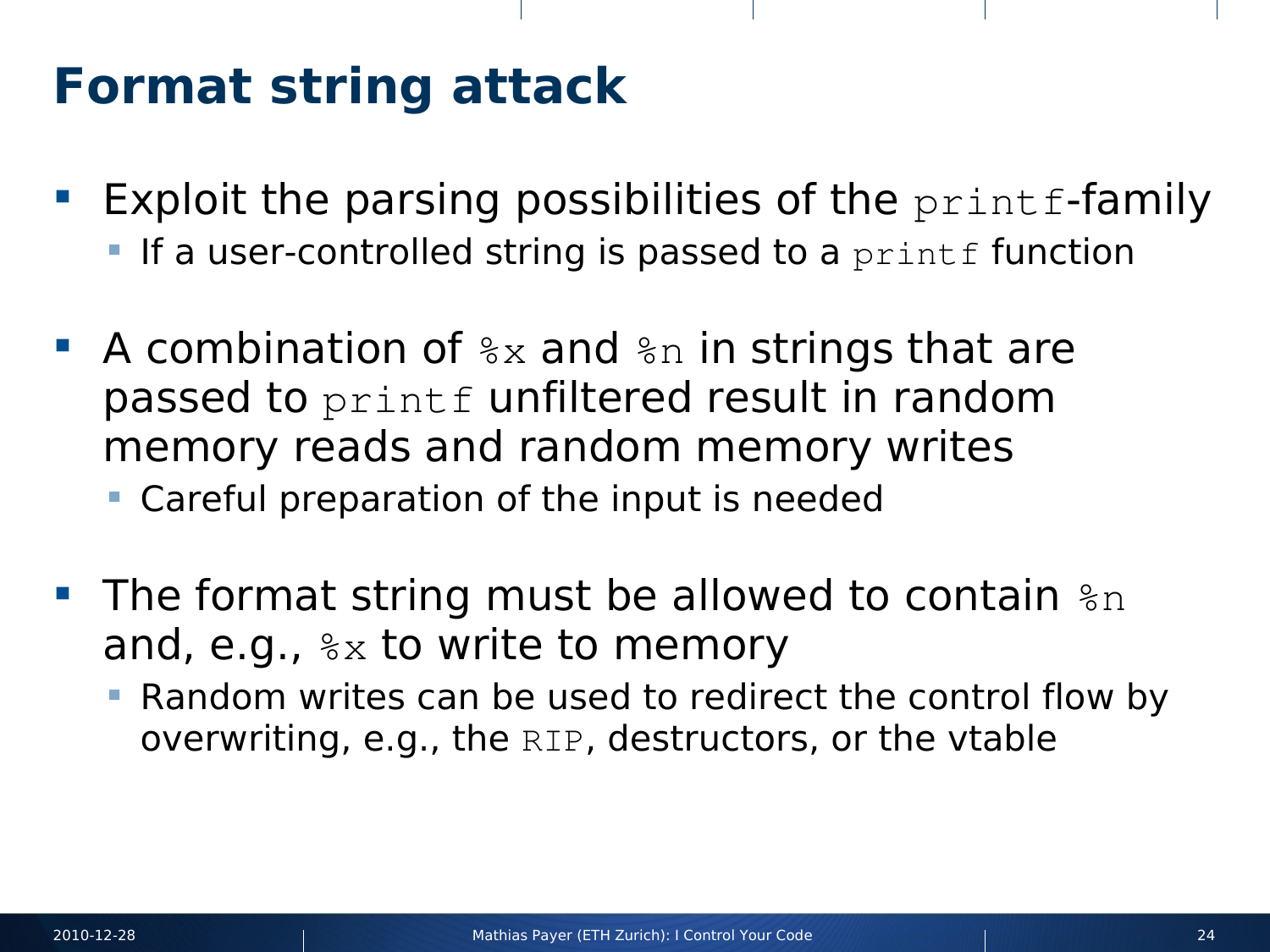#### **Format string attack**

- **Exploit the parsing possibilities of the print f-family** 
	- If a user-controlled string is passed to a printf function
- A combination of  $s_{\rm x}$  and  $s_{\rm n}$  in strings that are passed to printf unfiltered result in random memory reads and random memory writes
	- Careful preparation of the input is needed
- The format string must be allowed to contain  $a_n$ and, e.g.,  $\&\times$  to write to memory
	- Random writes can be used to redirect the control flow by overwriting, e.g., the RIP, destructors, or the vtable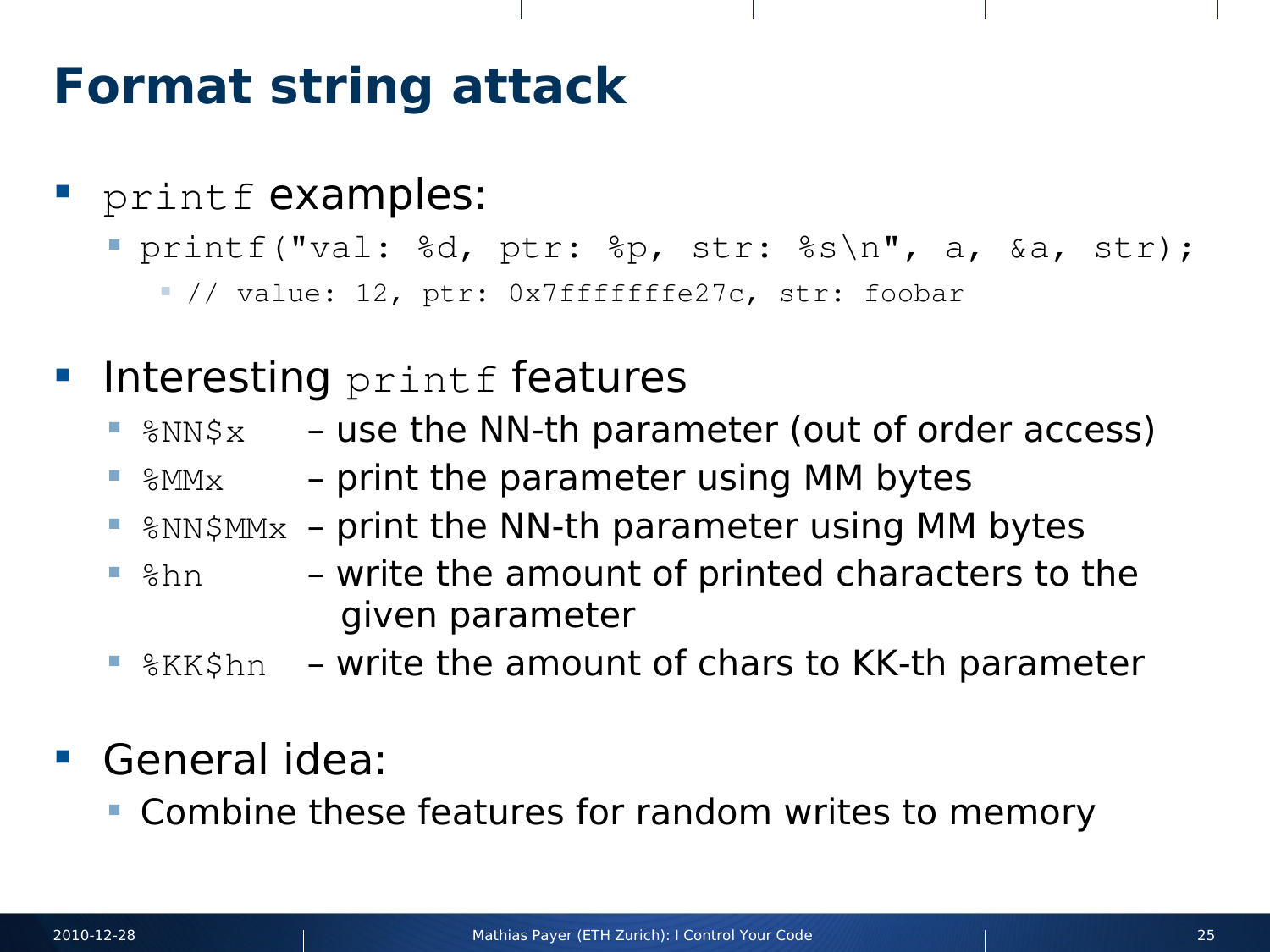### **Format string attack**

- printf examples:
	- printf("val: %d, ptr: %p, str: %s\n", a, &a, str);
		- $\blacksquare$ // value: 12, ptr: 0x7fffffffe27c, str: foobar
- **Interesting printf features** 
	- $\blacksquare$   $\text{SNN$x}$  use the NN-th parameter (out of order access)
		- $\gamma_{\text{MMx}}$  print the parameter using MM bytes
	- $\gamma$ <sub>8NN\$MMx</sub> print the NN-th parameter using MM bytes
	- $\delta$ hn write the amount of printed characters to the given parameter
	- *SKK\$hn* write the amount of chars to KK-th parameter
- General idea:
	- **Combine these features for random writes to memory**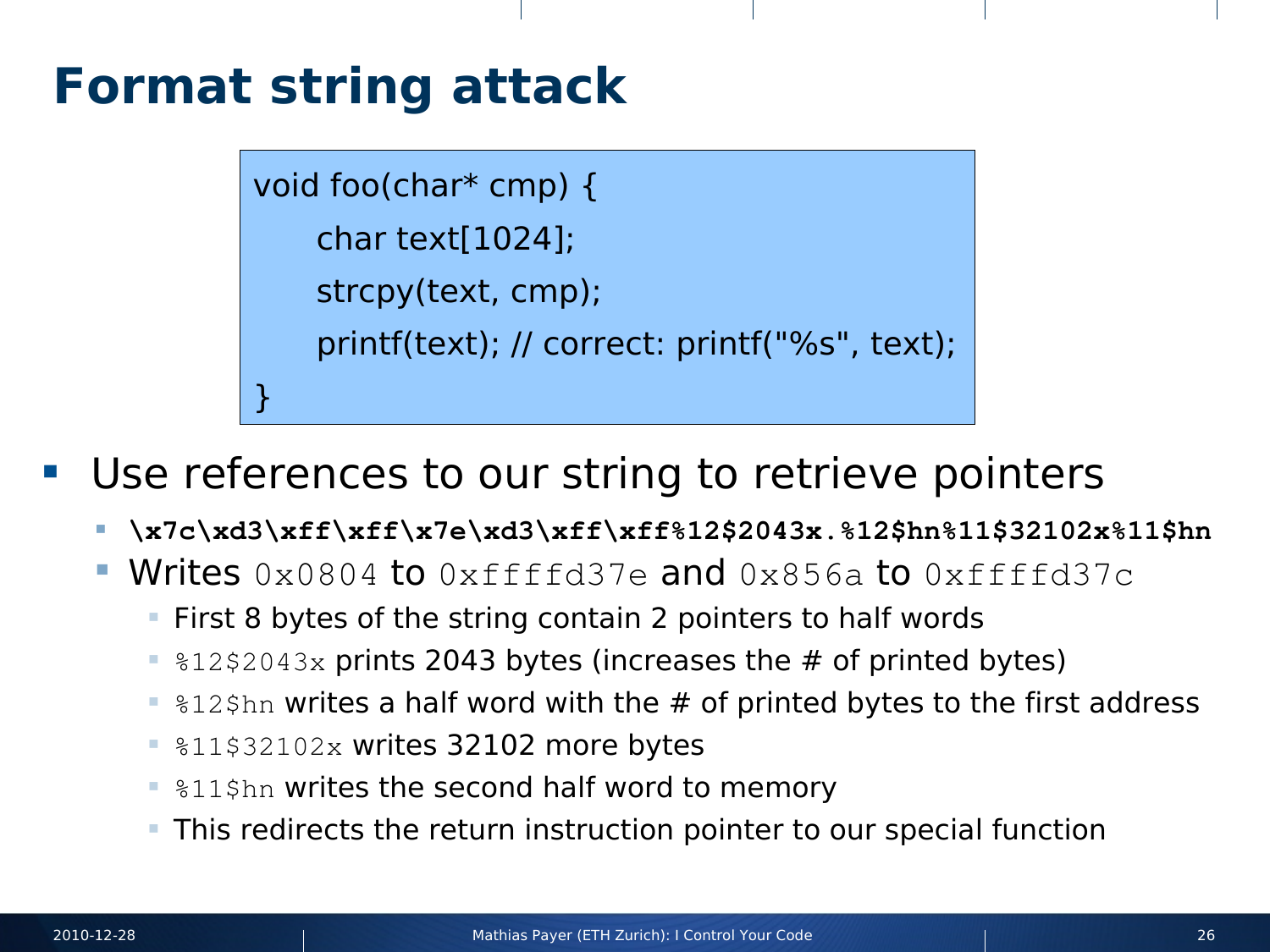### **Format string attack**

void foo(char\* cmp) { char text[1024]; strcpy(text, cmp); printf(text); // correct: printf("%s", text); }

- Use references to our string to retrieve pointers
	- **\x7c\xd3\xff\xff\x7e\xd3\xff\xff%12\$2043x.%12\$hn%11\$32102x%11\$hn**
	- Writes  $0 \times 0804$  to  $0 \times$ ffffd37e and  $0 \times 856$ a to  $0 \times$ ffffd37c
		- **First 8 bytes of the string contain 2 pointers to half words**
		- $\approx 12$ \$2043x prints 2043 bytes (increases the # of printed bytes)
		- $\blacksquare$  \$12\$hn writes a half word with the # of printed bytes to the first address
		- **811\$32102x writes 32102 more bytes**
		- **.** \$11\$hn writes the second half word to memory
		- This redirects the return instruction pointer to our special function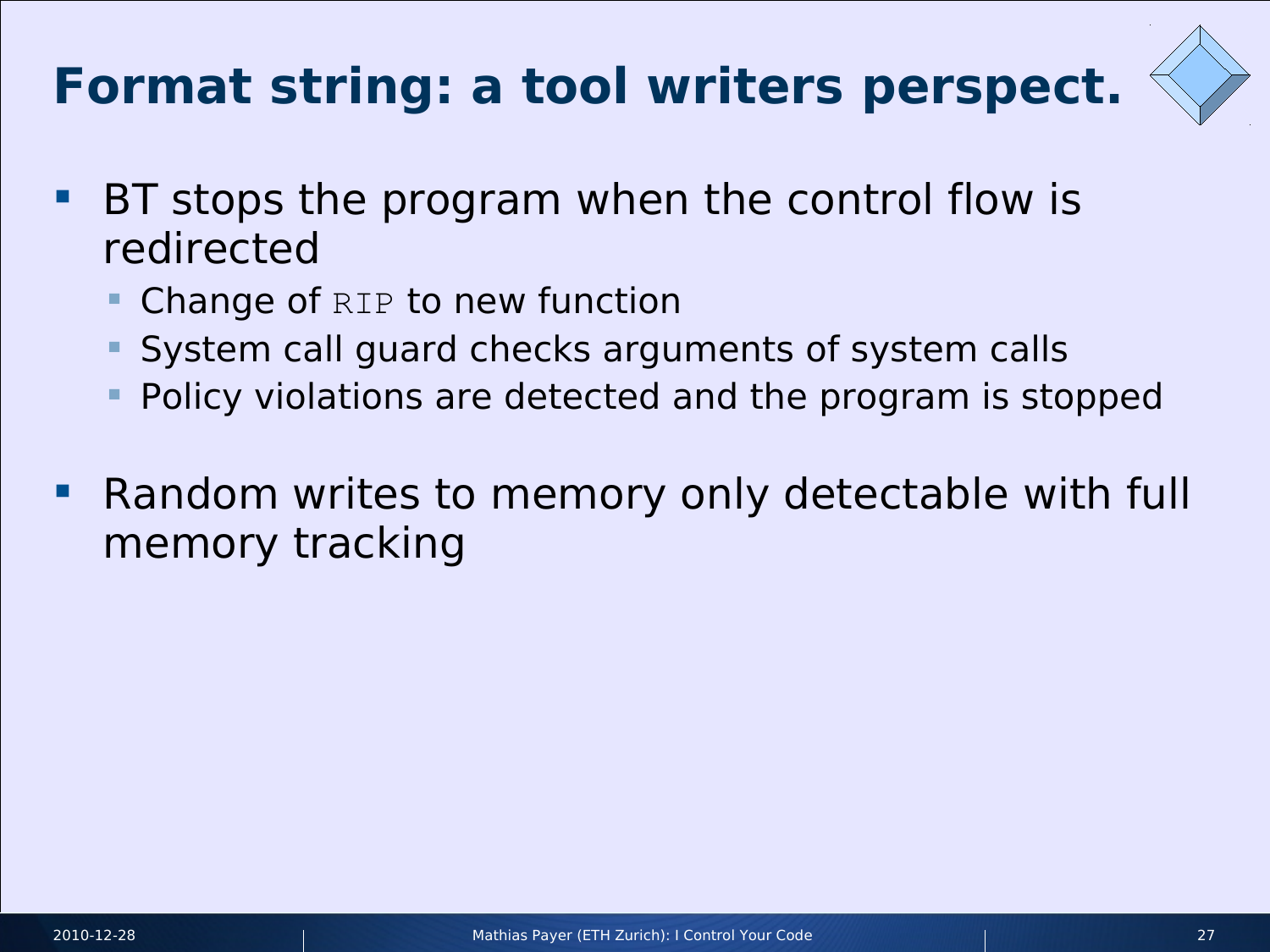# **Format string: a tool writers perspect.**



- **BT** stops the program when the control flow is redirected
	- Change of RIP to new function
	- System call guard checks arguments of system calls
	- Policy violations are detected and the program is stopped
- Random writes to memory only detectable with full memory tracking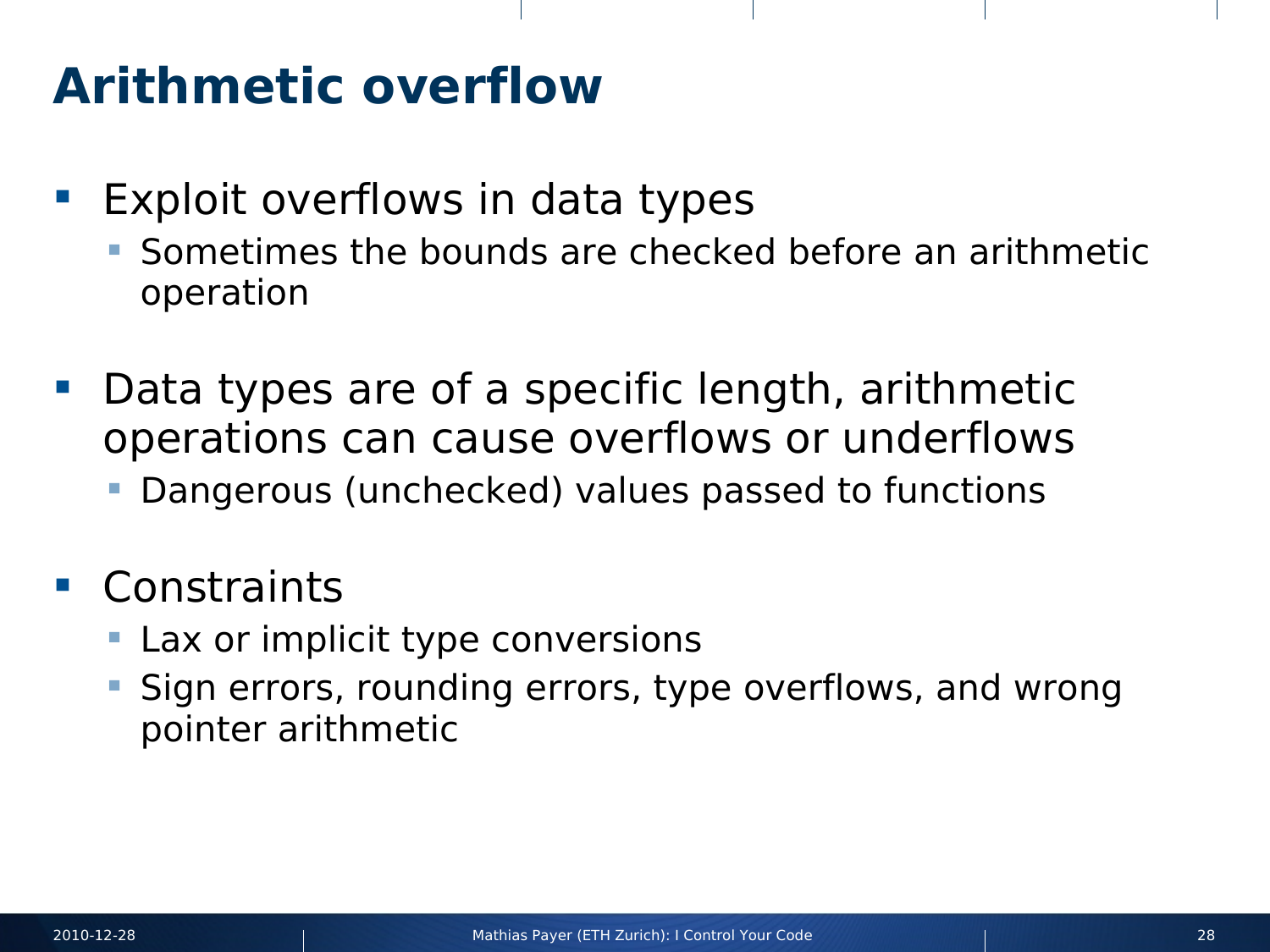#### **Arithmetic overflow**

- **Exploit overflows in data types** 
	- Sometimes the bounds are checked before an arithmetic operation
- **Data types are of a specific length, arithmetic** operations can cause overflows or underflows
	- Dangerous (unchecked) values passed to functions

#### Constraints

- Lax or implicit type conversions
- Sign errors, rounding errors, type overflows, and wrong pointer arithmetic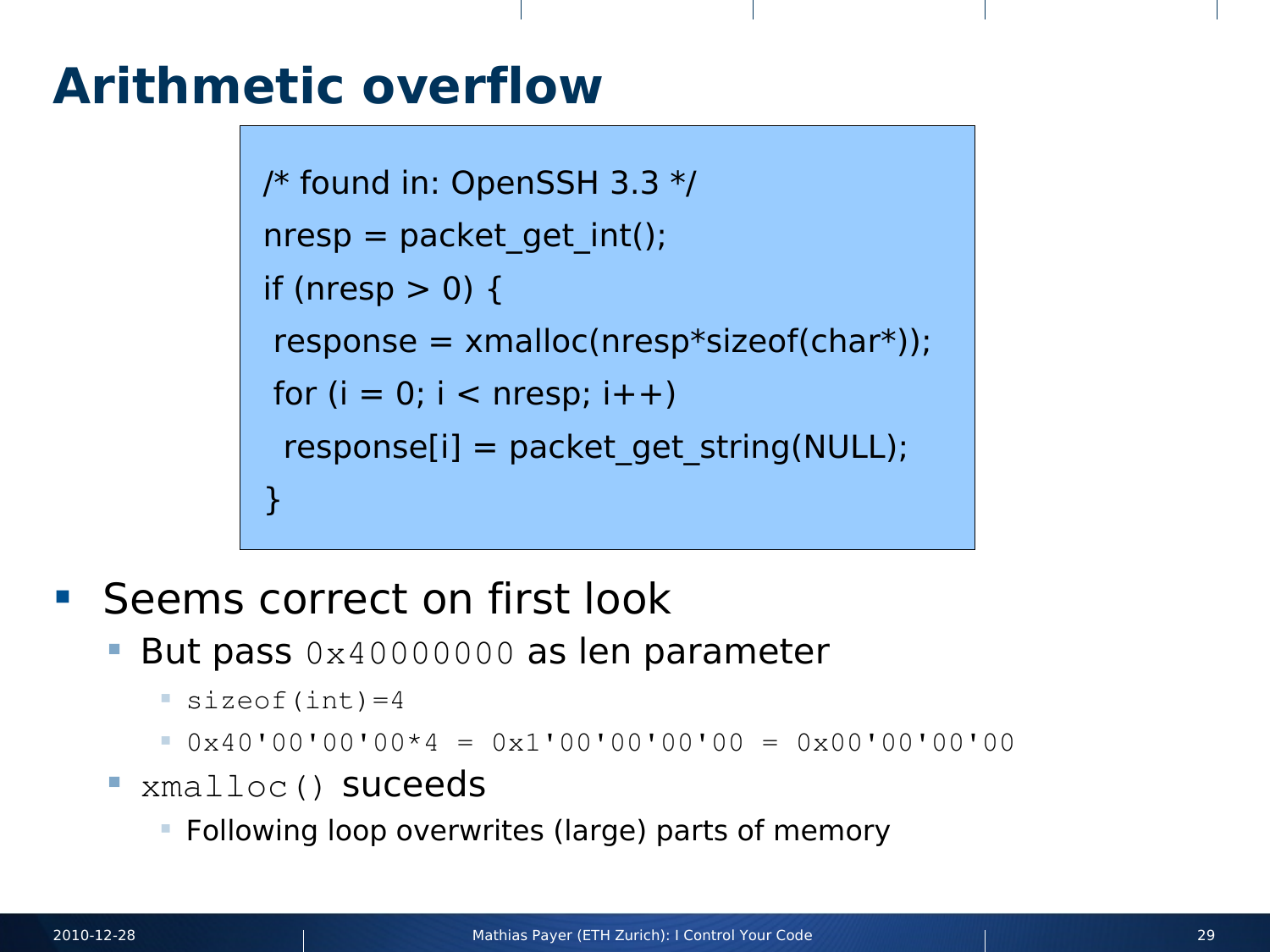#### **Arithmetic overflow**

```
/* found in: OpenSSH 3.3 */
nresp = packet\_get\_int();if (nresp > 0) {
 response = xmalloc(nresp*sizeof(char*));
for (i = 0; i < nresp; i + +)
 response[i] = packet get string(NULL);}
```
- Seems correct on first look
	- But pass 0x40000000 as len parameter
		- $\blacksquare$  sizeof(int)=4
		- $0 \times 40'00'00'00*4 = 0x1'00'00'00'00 = 0x00'00'00'00'$
	- **EXmalloc() Suceeds** 
		- Following loop overwrites (large) parts of memory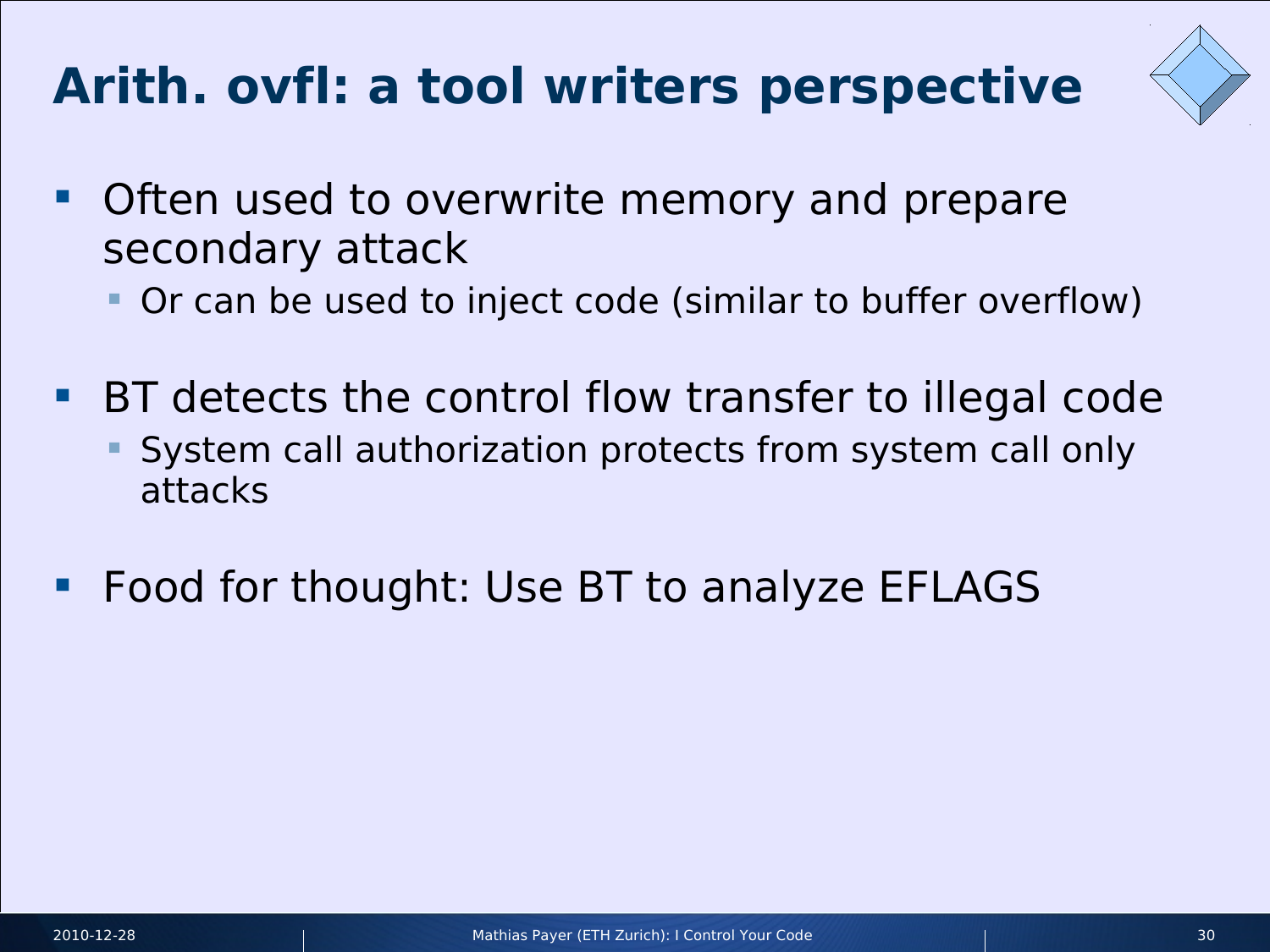# **Arith. ovfl: a tool writers perspective**



- **Often used to overwrite memory and prepare** secondary attack
	- Or can be used to inject code (similar to buffer overflow)
- BT detects the control flow transfer to illegal code
	- System call authorization protects from system call only attacks
- Food for thought: Use BT to analyze EFLAGS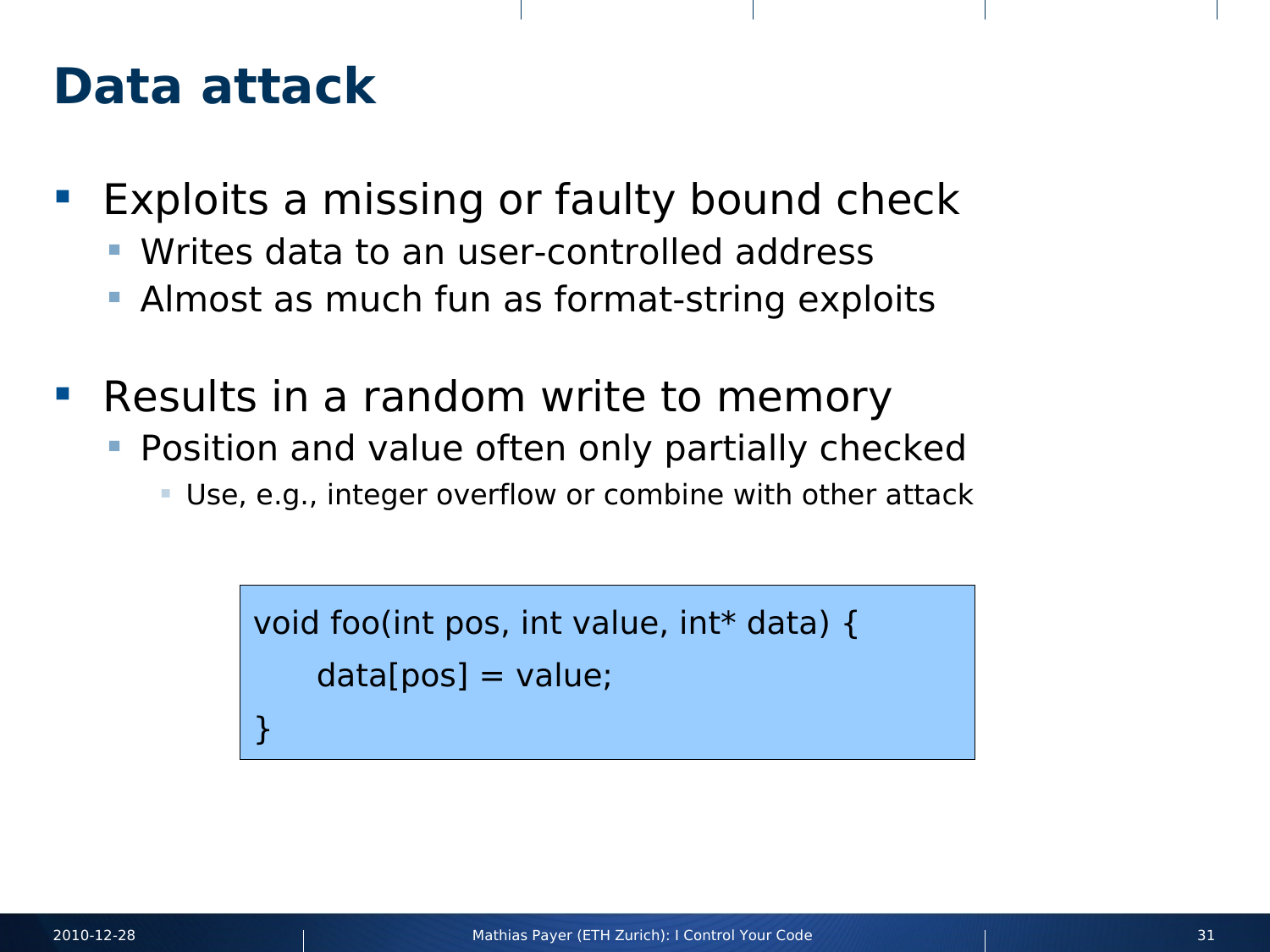#### **Data attack**

- **Exploits a missing or faulty bound check** 
	- **Writes data to an user-controlled address**
	- **Almost as much fun as format-string exploits**
- Results in a random write to memory
	- **Position and value often only partially checked** 
		- Use, e.g., integer overflow or combine with other attack

```
void foo(int pos, int value, int* data) {
    data[pos] = value;}
```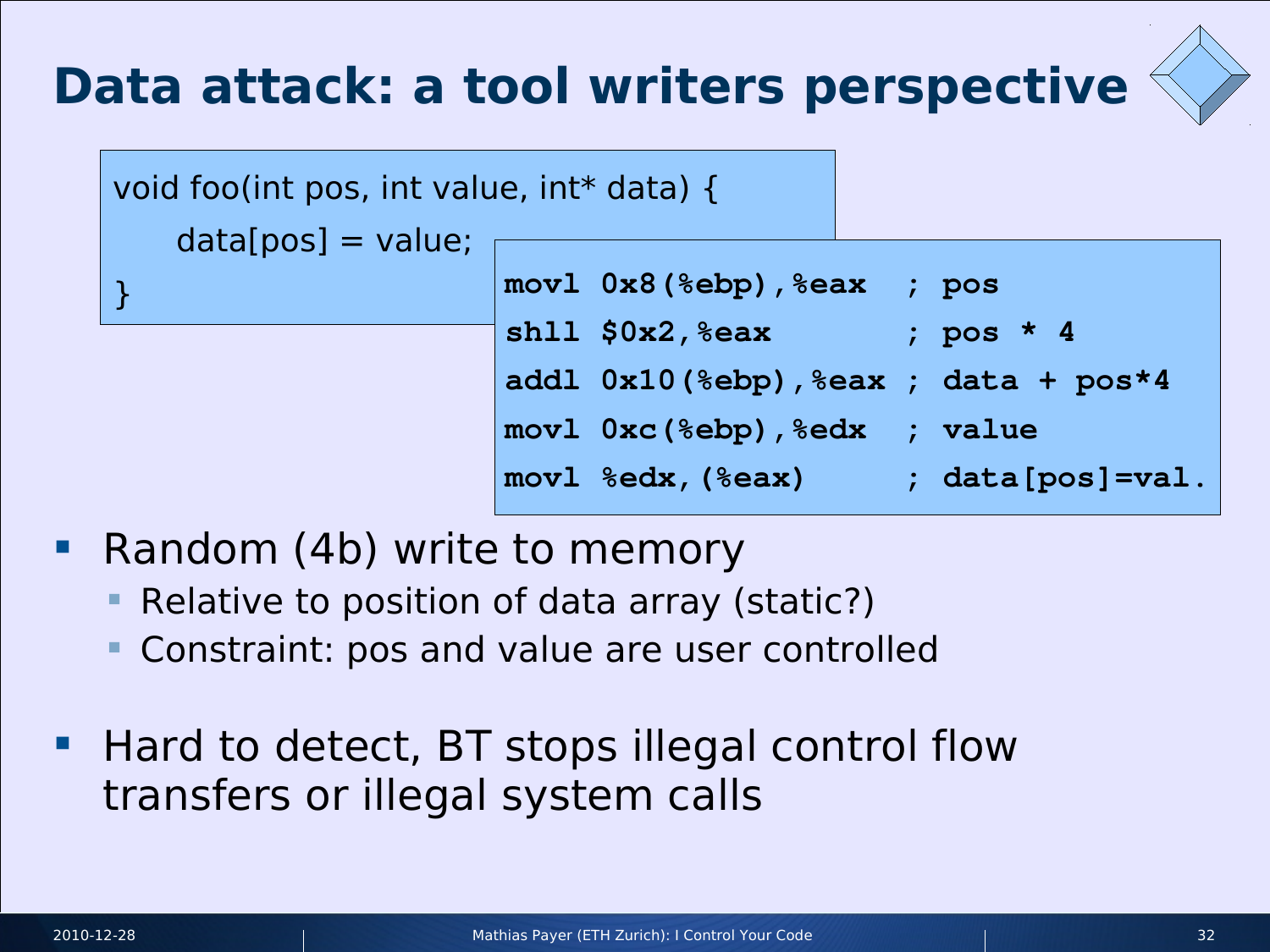# **Data attack: a tool writers perspective**



| void foo(int pos, int value, int* data) { |  |  |
|-------------------------------------------|--|--|
|-------------------------------------------|--|--|

 $data[pos] = value;$ 

|  | $ mov1$ $0x8$ (%ebp), %eax ; pos                      |                      |
|--|-------------------------------------------------------|----------------------|
|  | $ \texttt{shll} \texttt{S0x2},\texttt{\%eax} $        | ; pos $\star$ 4      |
|  | $ add1 0x10$ (%ebp), %eax ; data + pos*4              |                      |
|  |                                                       |                      |
|  | $\lceil \text{movl }$ $\text{sedx}$ , $\text{seax}$ ) | ; $data[pos] = val.$ |
|  |                                                       |                      |

- Random (4b) write to memory
	- Relative to position of data array (static?)
	- Constraint: pos and value are user controlled
- **Hard to detect, BT stops illegal control flow** transfers or illegal system calls

}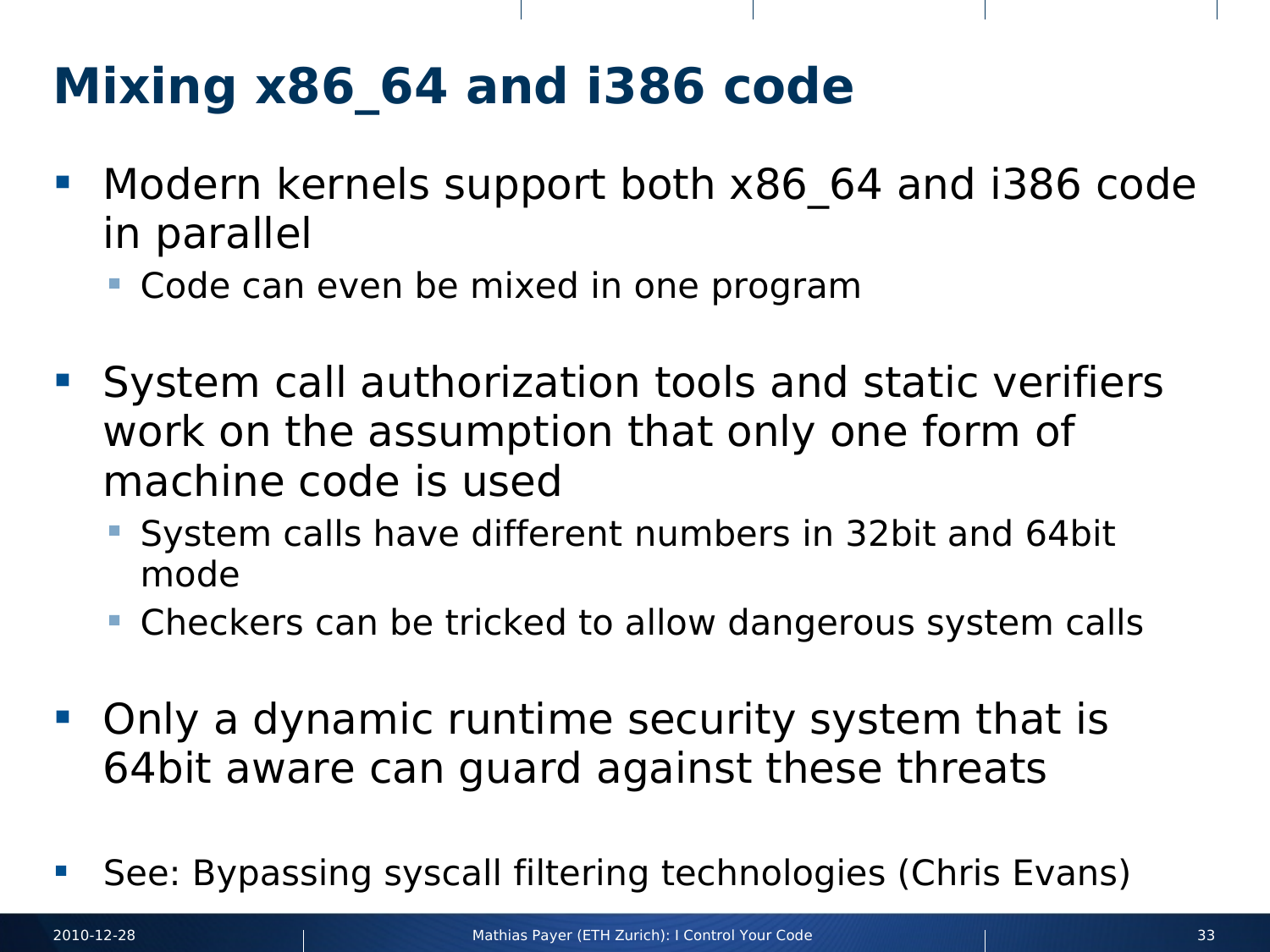# **Mixing x86\_64 and i386 code**

- Modern kernels support both x86\_64 and i386 code in parallel
	- Code can even be mixed in one program
- **System call authorization tools and static verifiers** work on the assumption that only one form of machine code is used
	- System calls have different numbers in 32bit and 64bit mode
	- **Checkers can be tricked to allow dangerous system calls**
- Only a dynamic runtime security system that is 64bit aware can guard against these threats
- See: Bypassing syscall filtering technologies (Chris Evans)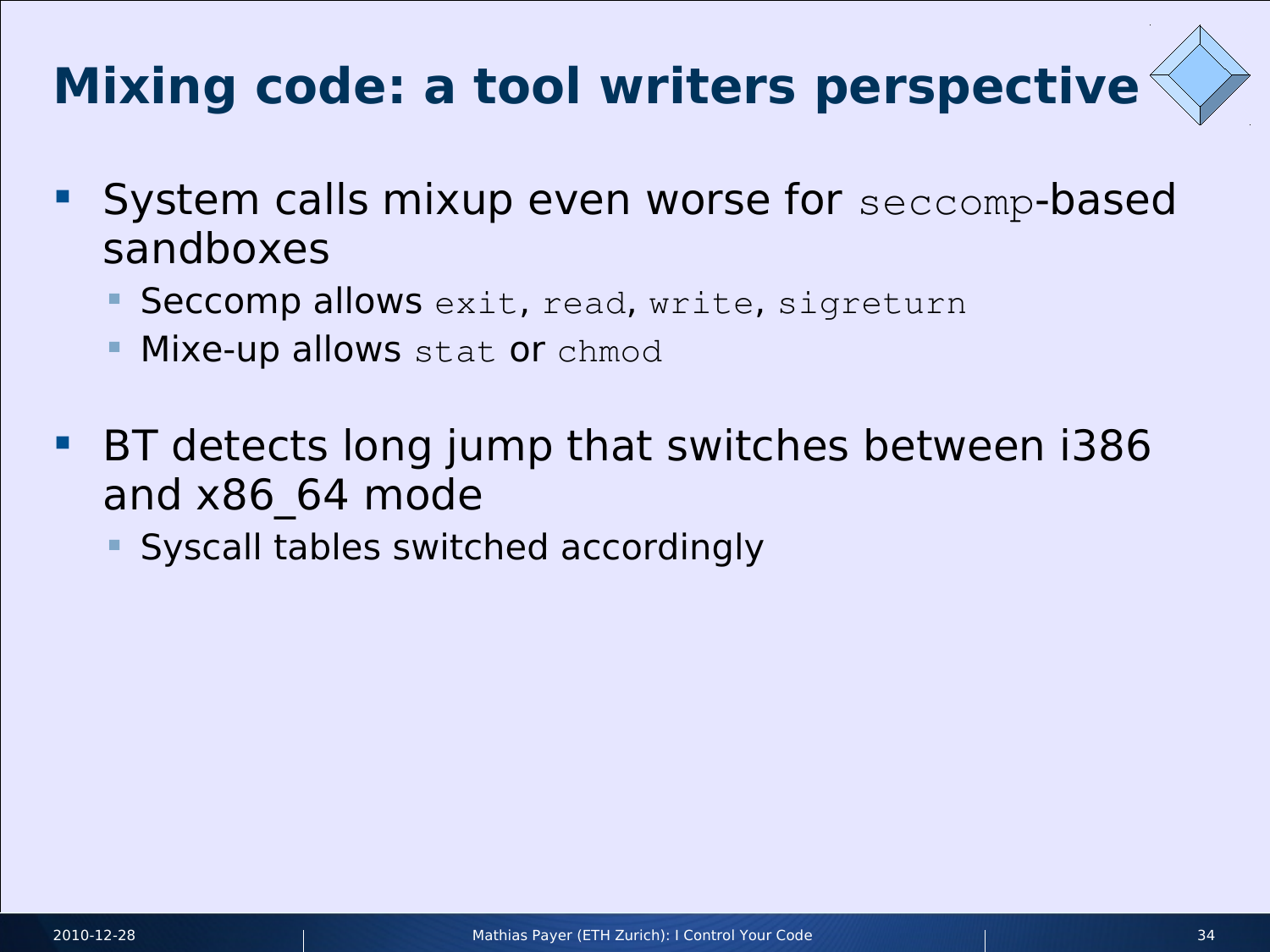# **Mixing code: a tool writers perspective**

- System calls mixup even worse for seccomp-based sandboxes
	- Seccomp allows exit, read, write, sigreturn
	- **Mixe-up allows** stat or chmod
- **BT detects long jump that switches between i386** and x86\_64 mode
	- Syscall tables switched accordingly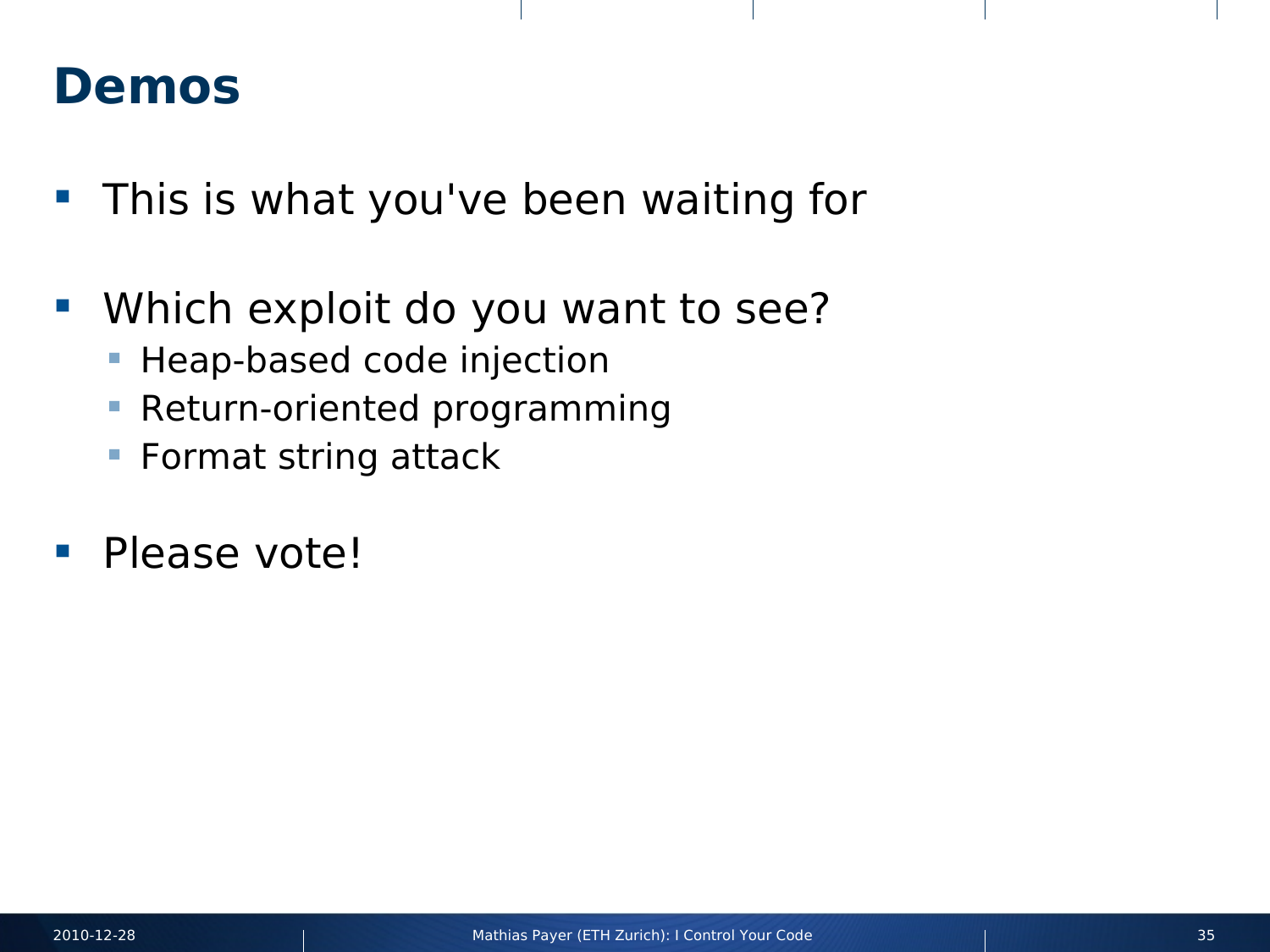#### **Demos**

- **This is what you've been waiting for**
- **Which exploit do you want to see?** 
	- **Heap-based code injection**
	- **Return-oriented programming**
	- **Format string attack**
- **Please vote!**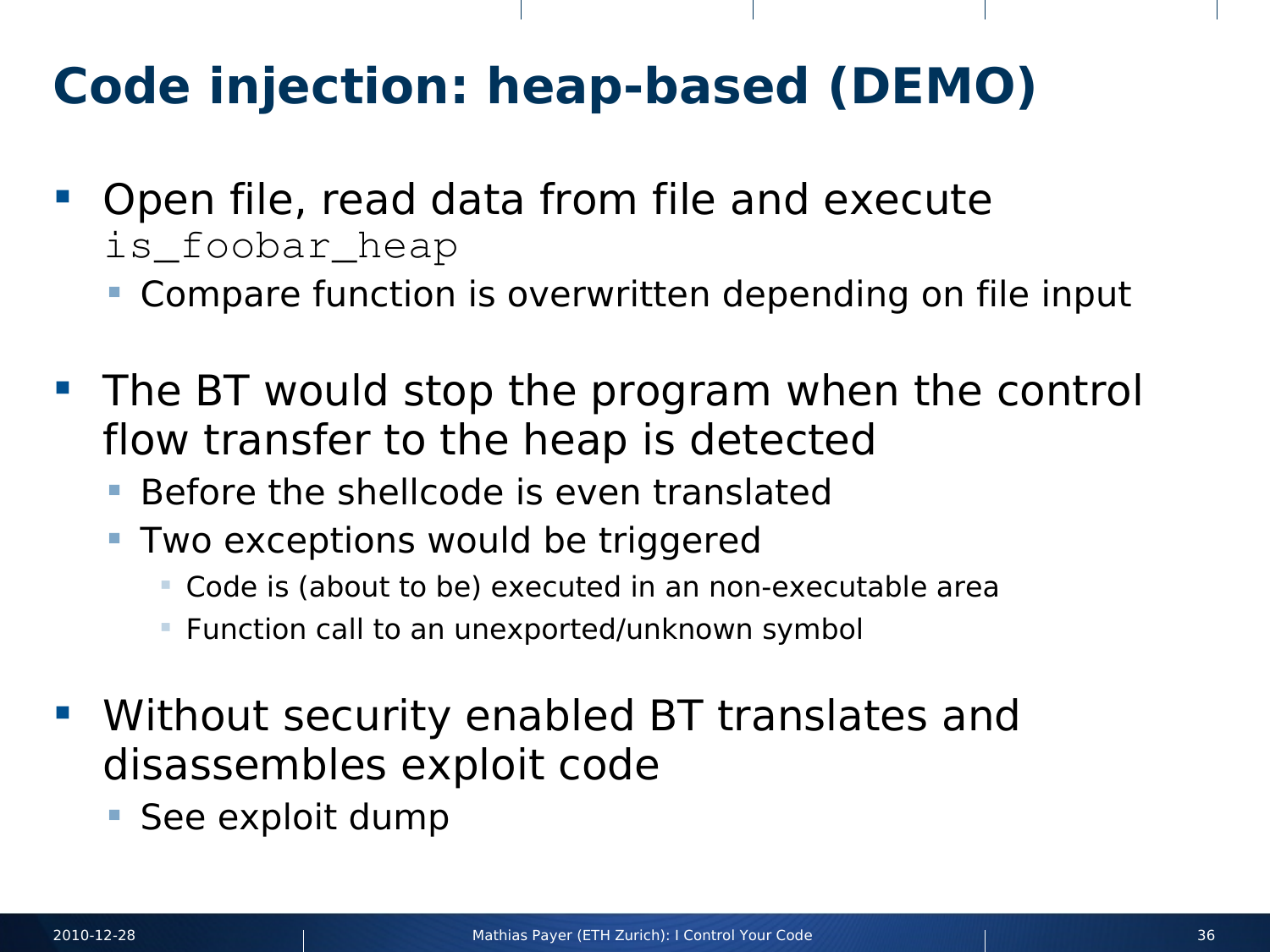# **Code injection: heap-based (DEMO)**

- **Open file, read data from file and execute** is\_foobar\_heap
	- Compare function is overwritten depending on file input
- **The BT would stop the program when the control** flow transfer to the heap is detected
	- Before the shellcode is even translated
	- Two exceptions would be triggered
		- Code is (about to be) executed in an non-executable area
		- **Function call to an unexported/unknown symbol**
- **Without security enabled BT translates and** disassembles exploit code
	- **See exploit dump**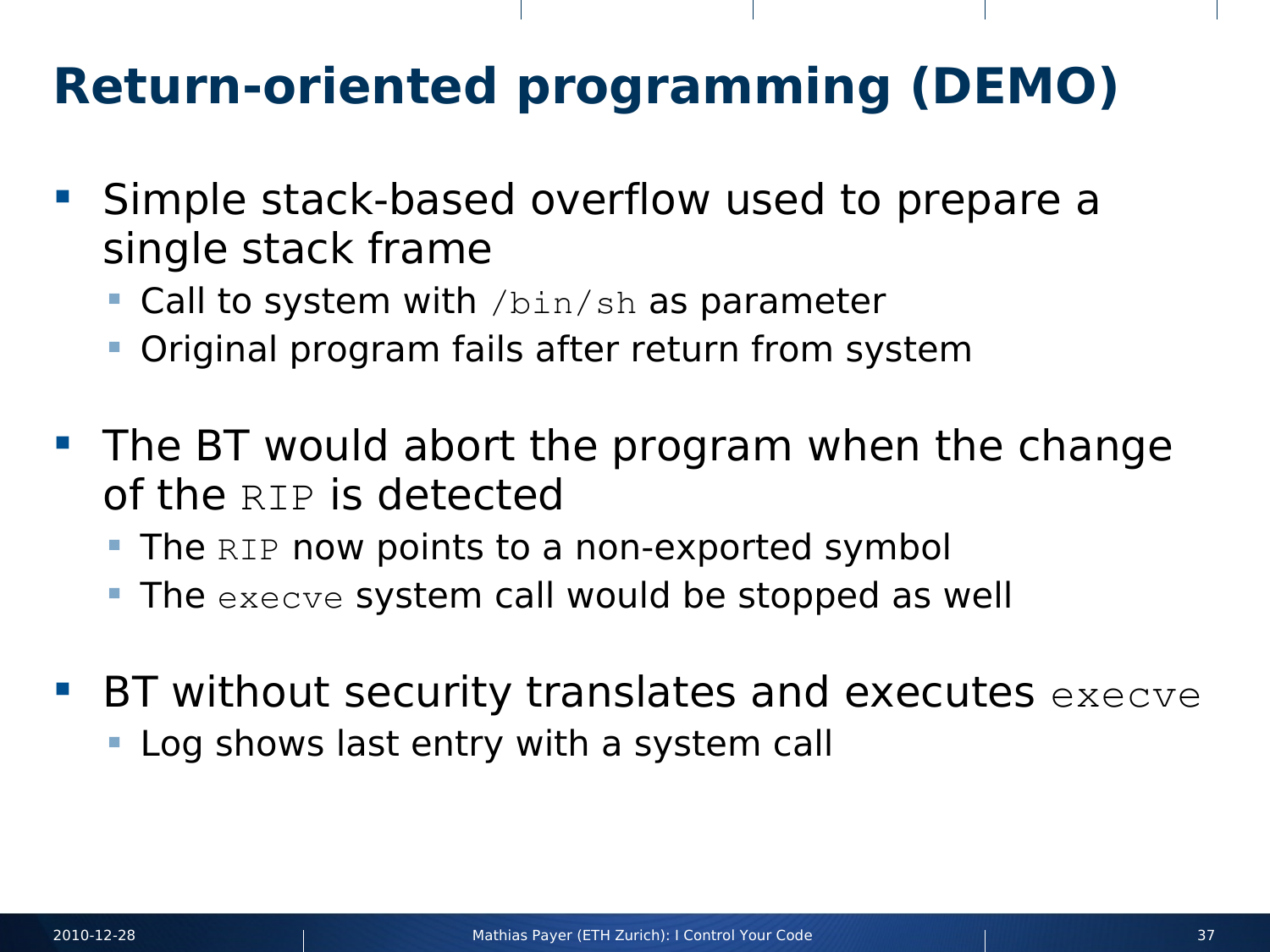# **Return-oriented programming (DEMO)**

- **Simple stack-based overflow used to prepare a** single stack frame
	- **Call to system with** /bin/sh as parameter
	- Original program fails after return from system
- **The BT would abort the program when the change** of the RIP is detected
	- The  $RIP$  now points to a non-exported symbol
	- The execve system call would be stopped as well
- BT without security translates and executes execve
	- Log shows last entry with a system call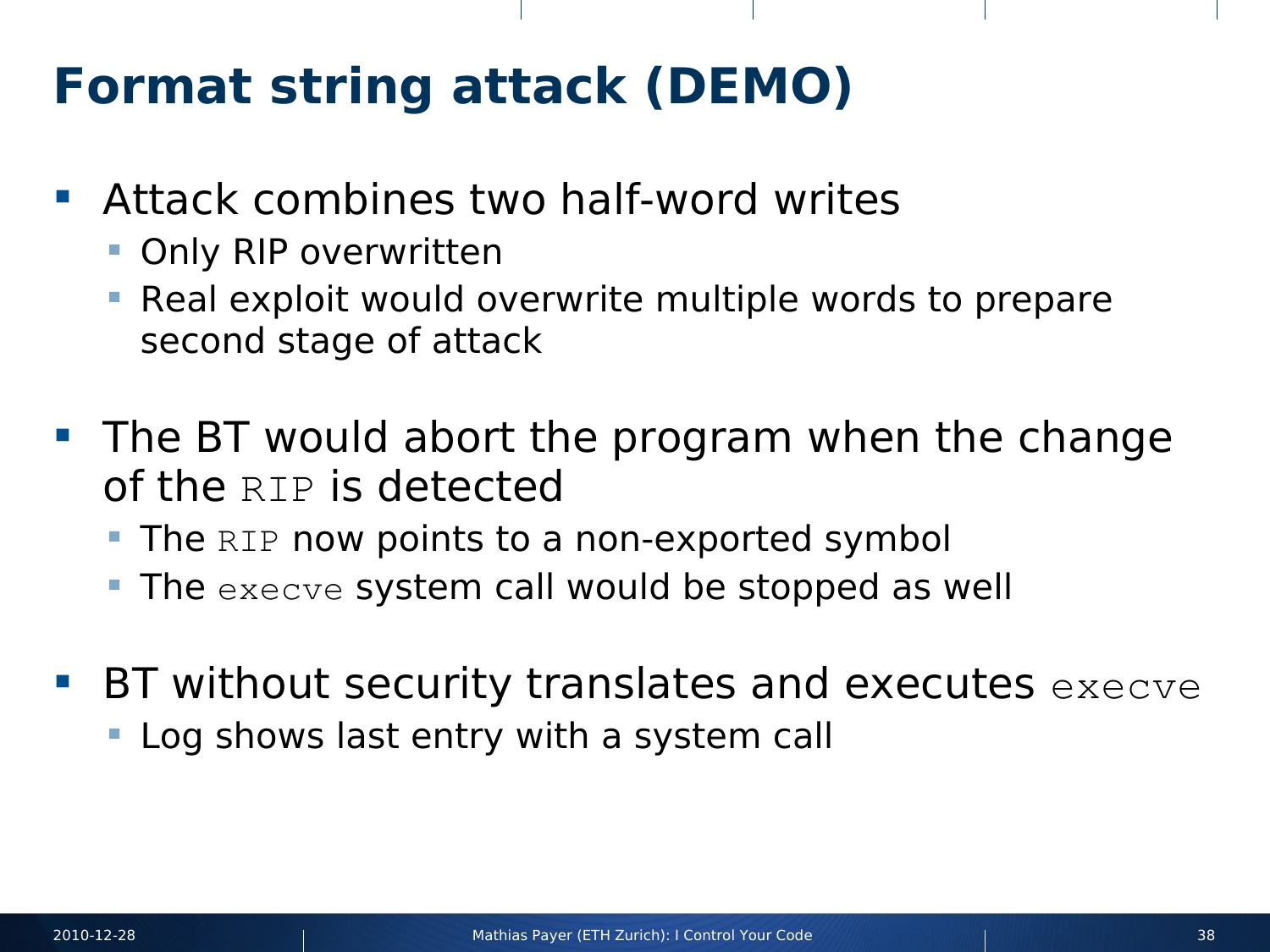## **Format string attack (DEMO)**

- **Attack combines two half-word writes** 
	- Only RIP overwritten
	- Real exploit would overwrite multiple words to prepare second stage of attack
- **The BT would abort the program when the change** of the RIP is detected
	- The RIP now points to a non-exported symbol
	- $\blacksquare$  The execve system call would be stopped as well
- $\blacksquare$  BT without security translates and executes  $\lnot$  execve
	- **Log shows last entry with a system call**